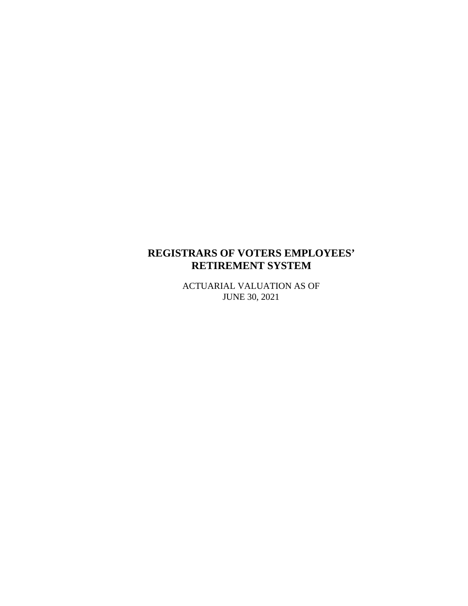## **REGISTRARS OF VOTERS EMPLOYEES' RETIREMENT SYSTEM**

ACTUARIAL VALUATION AS OF JUNE 30, 2021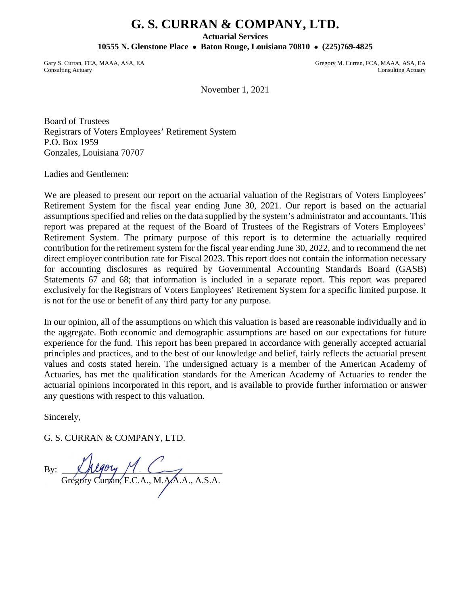# **G. S. CURRAN & COMPANY, LTD.**

**Actuarial Services**

**10555 N. Glenstone Place** • **Baton Rouge, Louisiana 70810** • **(225)769-4825**

Gary S. Curran, FCA, MAAA, ASA, EA Gregory M. Curran, FCA, MAAA, ASA, EA Gregory M. Curran, FCA, MAAA, ASA, EA Consulting Actuary

Consulting Actuary

November 1, 2021

Board of Trustees Registrars of Voters Employees' Retirement System P.O. Box 1959 Gonzales, Louisiana 70707

Ladies and Gentlemen:

We are pleased to present our report on the actuarial valuation of the Registrars of Voters Employees' Retirement System for the fiscal year ending June 30, 2021. Our report is based on the actuarial assumptions specified and relies on the data supplied by the system's administrator and accountants. This report was prepared at the request of the Board of Trustees of the Registrars of Voters Employees' Retirement System. The primary purpose of this report is to determine the actuarially required contribution for the retirement system for the fiscal year ending June 30, 2022, and to recommend the net direct employer contribution rate for Fiscal 2023. This report does not contain the information necessary for accounting disclosures as required by Governmental Accounting Standards Board (GASB) Statements 67 and 68; that information is included in a separate report. This report was prepared exclusively for the Registrars of Voters Employees' Retirement System for a specific limited purpose. It is not for the use or benefit of any third party for any purpose.

In our opinion, all of the assumptions on which this valuation is based are reasonable individually and in the aggregate. Both economic and demographic assumptions are based on our expectations for future experience for the fund. This report has been prepared in accordance with generally accepted actuarial principles and practices, and to the best of our knowledge and belief, fairly reflects the actuarial present values and costs stated herein. The undersigned actuary is a member of the American Academy of Actuaries, has met the qualification standards for the American Academy of Actuaries to render the actuarial opinions incorporated in this report, and is available to provide further information or answer any questions with respect to this valuation.

Sincerely,

G. S. CURRAN & COMPANY, LTD.

By:  $\mu$ Grégóry Curran, F.C.A., M.A.A.A., A.S.A.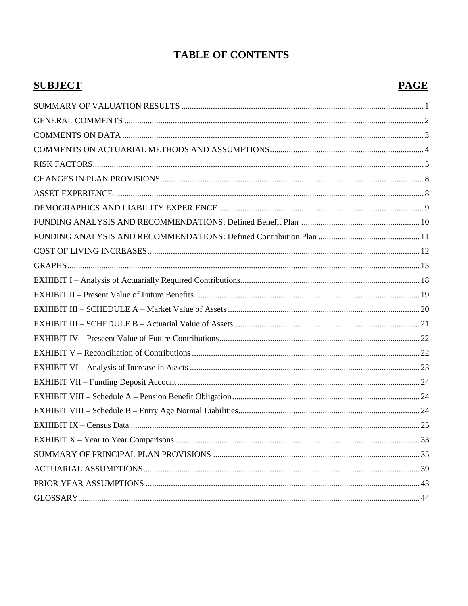# **TABLE OF CONTENTS**

# **SUBJECT**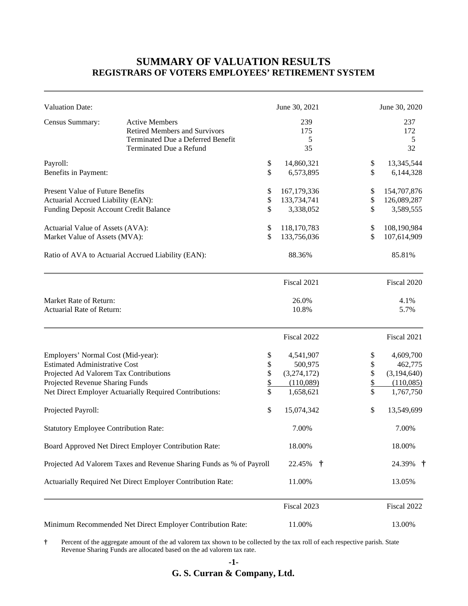#### **SUMMARY OF VALUATION RESULTS REGISTRARS OF VOTERS EMPLOYEES' RETIREMENT SYSTEM**

| <b>Valuation Date:</b>                                                                                                                                  |                                                                                                                               |                            | June 30, 2021                                                 |                            | June 30, 2020                                                 |
|---------------------------------------------------------------------------------------------------------------------------------------------------------|-------------------------------------------------------------------------------------------------------------------------------|----------------------------|---------------------------------------------------------------|----------------------------|---------------------------------------------------------------|
| Census Summary:                                                                                                                                         | <b>Active Members</b><br><b>Retired Members and Survivors</b><br>Terminated Due a Deferred Benefit<br>Terminated Due a Refund |                            | 239<br>175<br>5<br>35                                         |                            | 237<br>172<br>5<br>32                                         |
| Payroll:<br>Benefits in Payment:                                                                                                                        |                                                                                                                               | \$<br>\$                   | 14,860,321<br>6,573,895                                       | \$<br>\$                   | 13,345,544<br>6,144,328                                       |
| <b>Present Value of Future Benefits</b><br>Actuarial Accrued Liability (EAN):<br>Funding Deposit Account Credit Balance                                 |                                                                                                                               | \$<br>\$<br>\$             | 167, 179, 336<br>133,734,741<br>3,338,052                     | \$<br>\$<br>\$             | 154,707,876<br>126,089,287<br>3,589,555                       |
| Actuarial Value of Assets (AVA):<br>Market Value of Assets (MVA):                                                                                       |                                                                                                                               | \$<br>\$                   | 118,170,783<br>133,756,036                                    | \$<br>\$                   | 108,190,984<br>107,614,909                                    |
|                                                                                                                                                         | Ratio of AVA to Actuarial Accrued Liability (EAN):                                                                            |                            | 88.36%                                                        |                            | 85.81%                                                        |
|                                                                                                                                                         |                                                                                                                               |                            | Fiscal 2021                                                   |                            | Fiscal 2020                                                   |
| Market Rate of Return:<br>Actuarial Rate of Return:                                                                                                     |                                                                                                                               |                            | 26.0%<br>10.8%                                                |                            | 4.1%<br>5.7%                                                  |
|                                                                                                                                                         |                                                                                                                               |                            | Fiscal 2022                                                   |                            | Fiscal 2021                                                   |
| Employers' Normal Cost (Mid-year):<br><b>Estimated Administrative Cost</b><br>Projected Ad Valorem Tax Contributions<br>Projected Revenue Sharing Funds | Net Direct Employer Actuarially Required Contributions:                                                                       | \$<br>\$<br>\$<br>\$<br>\$ | 4,541,907<br>500,975<br>(3,274,172)<br>(110,089)<br>1,658,621 | \$<br>\$<br>\$<br>\$<br>\$ | 4,609,700<br>462,775<br>(3,194,640)<br>(110,085)<br>1,767,750 |
| Projected Payroll:                                                                                                                                      |                                                                                                                               | \$                         | 15,074,342                                                    | \$                         | 13,549,699                                                    |
| <b>Statutory Employee Contribution Rate:</b>                                                                                                            |                                                                                                                               |                            | 7.00%                                                         |                            | 7.00%                                                         |
|                                                                                                                                                         | Board Approved Net Direct Employer Contribution Rate:                                                                         |                            | 18.00%                                                        |                            | 18.00%                                                        |
|                                                                                                                                                         | Projected Ad Valorem Taxes and Revenue Sharing Funds as % of Payroll                                                          |                            | 22.45%<br>$\ddot{\tau}$                                       |                            | 24.39% †                                                      |
|                                                                                                                                                         | Actuarially Required Net Direct Employer Contribution Rate:                                                                   |                            | 11.00%                                                        |                            | 13.05%                                                        |
|                                                                                                                                                         |                                                                                                                               |                            | Fiscal 2023                                                   |                            | Fiscal 2022                                                   |
|                                                                                                                                                         | Minimum Recommended Net Direct Employer Contribution Rate:                                                                    |                            | 11.00%                                                        |                            | 13.00%                                                        |

**†** Percent of the aggregate amount of the ad valorem tax shown to be collected by the tax roll of each respective parish. State Revenue Sharing Funds are allocated based on the ad valorem tax rate.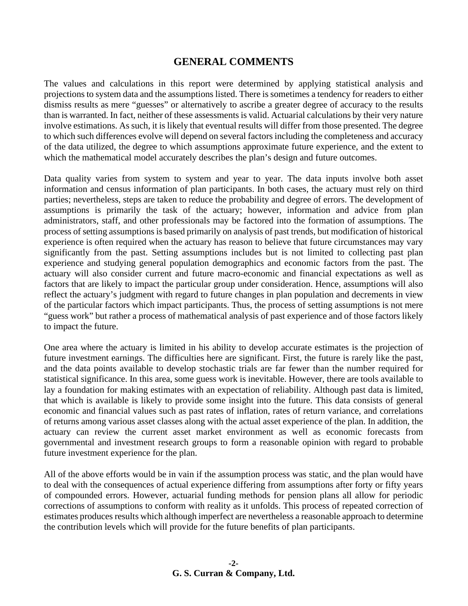#### **GENERAL COMMENTS**

The values and calculations in this report were determined by applying statistical analysis and projections to system data and the assumptions listed. There is sometimes a tendency for readers to either dismiss results as mere "guesses" or alternatively to ascribe a greater degree of accuracy to the results than is warranted. In fact, neither of these assessments is valid. Actuarial calculations by their very nature involve estimations. As such, it is likely that eventual results will differ from those presented. The degree to which such differences evolve will depend on several factors including the completeness and accuracy of the data utilized, the degree to which assumptions approximate future experience, and the extent to which the mathematical model accurately describes the plan's design and future outcomes.

Data quality varies from system to system and year to year. The data inputs involve both asset information and census information of plan participants. In both cases, the actuary must rely on third parties; nevertheless, steps are taken to reduce the probability and degree of errors. The development of assumptions is primarily the task of the actuary; however, information and advice from plan administrators, staff, and other professionals may be factored into the formation of assumptions. The process of setting assumptions is based primarily on analysis of past trends, but modification of historical experience is often required when the actuary has reason to believe that future circumstances may vary significantly from the past. Setting assumptions includes but is not limited to collecting past plan experience and studying general population demographics and economic factors from the past. The actuary will also consider current and future macro-economic and financial expectations as well as factors that are likely to impact the particular group under consideration. Hence, assumptions will also reflect the actuary's judgment with regard to future changes in plan population and decrements in view of the particular factors which impact participants. Thus, the process of setting assumptions is not mere "guess work" but rather a process of mathematical analysis of past experience and of those factors likely to impact the future.

One area where the actuary is limited in his ability to develop accurate estimates is the projection of future investment earnings. The difficulties here are significant. First, the future is rarely like the past, and the data points available to develop stochastic trials are far fewer than the number required for statistical significance. In this area, some guess work is inevitable. However, there are tools available to lay a foundation for making estimates with an expectation of reliability. Although past data is limited, that which is available is likely to provide some insight into the future. This data consists of general economic and financial values such as past rates of inflation, rates of return variance, and correlations of returns among various asset classes along with the actual asset experience of the plan. In addition, the actuary can review the current asset market environment as well as economic forecasts from governmental and investment research groups to form a reasonable opinion with regard to probable future investment experience for the plan.

All of the above efforts would be in vain if the assumption process was static, and the plan would have to deal with the consequences of actual experience differing from assumptions after forty or fifty years of compounded errors. However, actuarial funding methods for pension plans all allow for periodic corrections of assumptions to conform with reality as it unfolds. This process of repeated correction of estimates produces results which although imperfect are nevertheless a reasonable approach to determine the contribution levels which will provide for the future benefits of plan participants.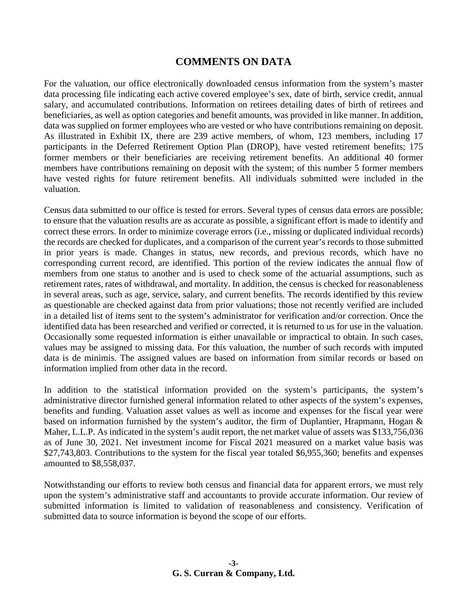#### **COMMENTS ON DATA**

For the valuation, our office electronically downloaded census information from the system's master data processing file indicating each active covered employee's sex, date of birth, service credit, annual salary, and accumulated contributions. Information on retirees detailing dates of birth of retirees and beneficiaries, as well as option categories and benefit amounts, was provided in like manner. In addition, data was supplied on former employees who are vested or who have contributions remaining on deposit. As illustrated in Exhibit IX, there are 239 active members, of whom, 123 members, including 17 participants in the Deferred Retirement Option Plan (DROP), have vested retirement benefits; 175 former members or their beneficiaries are receiving retirement benefits. An additional 40 former members have contributions remaining on deposit with the system; of this number 5 former members have vested rights for future retirement benefits. All individuals submitted were included in the valuation.

Census data submitted to our office is tested for errors. Several types of census data errors are possible; to ensure that the valuation results are as accurate as possible, a significant effort is made to identify and correct these errors. In order to minimize coverage errors (i.e., missing or duplicated individual records) the records are checked for duplicates, and a comparison of the current year's records to those submitted in prior years is made. Changes in status, new records, and previous records, which have no corresponding current record, are identified. This portion of the review indicates the annual flow of members from one status to another and is used to check some of the actuarial assumptions, such as retirement rates, rates of withdrawal, and mortality. In addition, the census is checked for reasonableness in several areas, such as age, service, salary, and current benefits. The records identified by this review as questionable are checked against data from prior valuations; those not recently verified are included in a detailed list of items sent to the system's administrator for verification and/or correction. Once the identified data has been researched and verified or corrected, it is returned to us for use in the valuation. Occasionally some requested information is either unavailable or impractical to obtain. In such cases, values may be assigned to missing data. For this valuation, the number of such records with imputed data is de minimis. The assigned values are based on information from similar records or based on information implied from other data in the record.

In addition to the statistical information provided on the system's participants, the system's administrative director furnished general information related to other aspects of the system's expenses, benefits and funding. Valuation asset values as well as income and expenses for the fiscal year were based on information furnished by the system's auditor, the firm of Duplantier, Hrapmann, Hogan & Maher, L.L.P. As indicated in the system's audit report, the net market value of assets was \$133,756,036 as of June 30, 2021. Net investment income for Fiscal 2021 measured on a market value basis was \$27,743,803. Contributions to the system for the fiscal year totaled \$6,955,360; benefits and expenses amounted to \$8,558,037.

Notwithstanding our efforts to review both census and financial data for apparent errors, we must rely upon the system's administrative staff and accountants to provide accurate information. Our review of submitted information is limited to validation of reasonableness and consistency. Verification of submitted data to source information is beyond the scope of our efforts.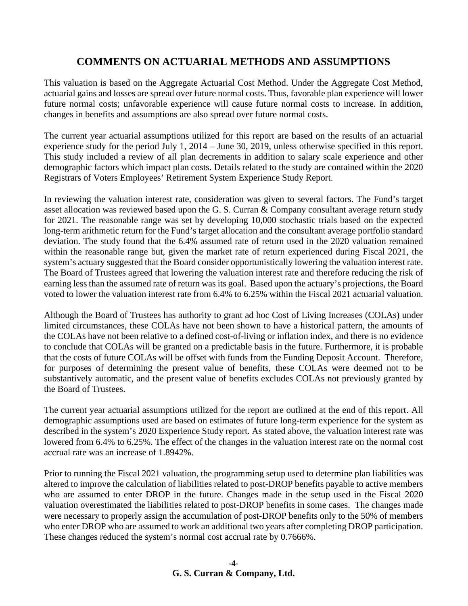## **COMMENTS ON ACTUARIAL METHODS AND ASSUMPTIONS**

This valuation is based on the Aggregate Actuarial Cost Method. Under the Aggregate Cost Method, actuarial gains and losses are spread over future normal costs. Thus, favorable plan experience will lower future normal costs; unfavorable experience will cause future normal costs to increase. In addition, changes in benefits and assumptions are also spread over future normal costs.

The current year actuarial assumptions utilized for this report are based on the results of an actuarial experience study for the period July 1, 2014 – June 30, 2019, unless otherwise specified in this report. This study included a review of all plan decrements in addition to salary scale experience and other demographic factors which impact plan costs. Details related to the study are contained within the 2020 Registrars of Voters Employees' Retirement System Experience Study Report.

In reviewing the valuation interest rate, consideration was given to several factors. The Fund's target asset allocation was reviewed based upon the G. S. Curran & Company consultant average return study for 2021. The reasonable range was set by developing 10,000 stochastic trials based on the expected long-term arithmetic return for the Fund's target allocation and the consultant average portfolio standard deviation. The study found that the 6.4% assumed rate of return used in the 2020 valuation remained within the reasonable range but, given the market rate of return experienced during Fiscal 2021, the system's actuary suggested that the Board consider opportunistically lowering the valuation interest rate. The Board of Trustees agreed that lowering the valuation interest rate and therefore reducing the risk of earning less than the assumed rate of return was its goal. Based upon the actuary's projections, the Board voted to lower the valuation interest rate from 6.4% to 6.25% within the Fiscal 2021 actuarial valuation.

Although the Board of Trustees has authority to grant ad hoc Cost of Living Increases (COLAs) under limited circumstances, these COLAs have not been shown to have a historical pattern, the amounts of the COLAs have not been relative to a defined cost-of-living or inflation index, and there is no evidence to conclude that COLAs will be granted on a predictable basis in the future. Furthermore, it is probable that the costs of future COLAs will be offset with funds from the Funding Deposit Account. Therefore, for purposes of determining the present value of benefits, these COLAs were deemed not to be substantively automatic, and the present value of benefits excludes COLAs not previously granted by the Board of Trustees.

The current year actuarial assumptions utilized for the report are outlined at the end of this report. All demographic assumptions used are based on estimates of future long-term experience for the system as described in the system's 2020 Experience Study report. As stated above, the valuation interest rate was lowered from 6.4% to 6.25%. The effect of the changes in the valuation interest rate on the normal cost accrual rate was an increase of 1.8942%.

Prior to running the Fiscal 2021 valuation, the programming setup used to determine plan liabilities was altered to improve the calculation of liabilities related to post-DROP benefits payable to active members who are assumed to enter DROP in the future. Changes made in the setup used in the Fiscal 2020 valuation overestimated the liabilities related to post-DROP benefits in some cases. The changes made were necessary to properly assign the accumulation of post-DROP benefits only to the 50% of members who enter DROP who are assumed to work an additional two years after completing DROP participation. These changes reduced the system's normal cost accrual rate by 0.7666%.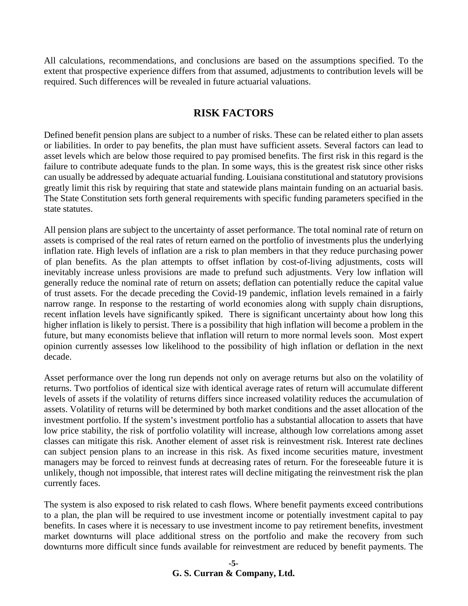All calculations, recommendations, and conclusions are based on the assumptions specified. To the extent that prospective experience differs from that assumed, adjustments to contribution levels will be required. Such differences will be revealed in future actuarial valuations.

#### **RISK FACTORS**

Defined benefit pension plans are subject to a number of risks. These can be related either to plan assets or liabilities. In order to pay benefits, the plan must have sufficient assets. Several factors can lead to asset levels which are below those required to pay promised benefits. The first risk in this regard is the failure to contribute adequate funds to the plan. In some ways, this is the greatest risk since other risks can usually be addressed by adequate actuarial funding. Louisiana constitutional and statutory provisions greatly limit this risk by requiring that state and statewide plans maintain funding on an actuarial basis. The State Constitution sets forth general requirements with specific funding parameters specified in the state statutes.

All pension plans are subject to the uncertainty of asset performance. The total nominal rate of return on assets is comprised of the real rates of return earned on the portfolio of investments plus the underlying inflation rate. High levels of inflation are a risk to plan members in that they reduce purchasing power of plan benefits. As the plan attempts to offset inflation by cost-of-living adjustments, costs will inevitably increase unless provisions are made to prefund such adjustments. Very low inflation will generally reduce the nominal rate of return on assets; deflation can potentially reduce the capital value of trust assets. For the decade preceding the Covid-19 pandemic, inflation levels remained in a fairly narrow range. In response to the restarting of world economies along with supply chain disruptions, recent inflation levels have significantly spiked. There is significant uncertainty about how long this higher inflation is likely to persist. There is a possibility that high inflation will become a problem in the future, but many economists believe that inflation will return to more normal levels soon. Most expert opinion currently assesses low likelihood to the possibility of high inflation or deflation in the next decade.

Asset performance over the long run depends not only on average returns but also on the volatility of returns. Two portfolios of identical size with identical average rates of return will accumulate different levels of assets if the volatility of returns differs since increased volatility reduces the accumulation of assets. Volatility of returns will be determined by both market conditions and the asset allocation of the investment portfolio. If the system's investment portfolio has a substantial allocation to assets that have low price stability, the risk of portfolio volatility will increase, although low correlations among asset classes can mitigate this risk. Another element of asset risk is reinvestment risk. Interest rate declines can subject pension plans to an increase in this risk. As fixed income securities mature, investment managers may be forced to reinvest funds at decreasing rates of return. For the foreseeable future it is unlikely, though not impossible, that interest rates will decline mitigating the reinvestment risk the plan currently faces.

The system is also exposed to risk related to cash flows. Where benefit payments exceed contributions to a plan, the plan will be required to use investment income or potentially investment capital to pay benefits. In cases where it is necessary to use investment income to pay retirement benefits, investment market downturns will place additional stress on the portfolio and make the recovery from such downturns more difficult since funds available for reinvestment are reduced by benefit payments. The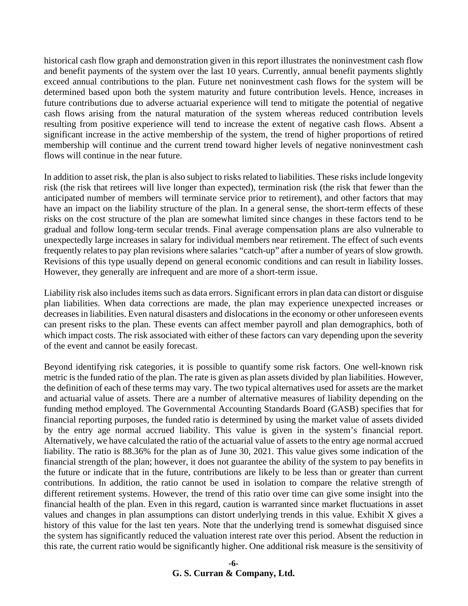historical cash flow graph and demonstration given in this report illustrates the noninvestment cash flow and benefit payments of the system over the last 10 years. Currently, annual benefit payments slightly exceed annual contributions to the plan. Future net noninvestment cash flows for the system will be determined based upon both the system maturity and future contribution levels. Hence, increases in future contributions due to adverse actuarial experience will tend to mitigate the potential of negative cash flows arising from the natural maturation of the system whereas reduced contribution levels resulting from positive experience will tend to increase the extent of negative cash flows. Absent a significant increase in the active membership of the system, the trend of higher proportions of retired membership will continue and the current trend toward higher levels of negative noninvestment cash flows will continue in the near future.

In addition to asset risk, the plan is also subject to risks related to liabilities. These risks include longevity risk (the risk that retirees will live longer than expected), termination risk (the risk that fewer than the anticipated number of members will terminate service prior to retirement), and other factors that may have an impact on the liability structure of the plan. In a general sense, the short-term effects of these risks on the cost structure of the plan are somewhat limited since changes in these factors tend to be gradual and follow long-term secular trends. Final average compensation plans are also vulnerable to unexpectedly large increases in salary for individual members near retirement. The effect of such events frequently relates to pay plan revisions where salaries "catch-up" after a number of years of slow growth. Revisions of this type usually depend on general economic conditions and can result in liability losses. However, they generally are infrequent and are more of a short-term issue.

Liability risk also includes items such as data errors. Significant errors in plan data can distort or disguise plan liabilities. When data corrections are made, the plan may experience unexpected increases or decreases in liabilities. Even natural disasters and dislocations in the economy or other unforeseen events can present risks to the plan. These events can affect member payroll and plan demographics, both of which impact costs. The risk associated with either of these factors can vary depending upon the severity of the event and cannot be easily forecast.

Beyond identifying risk categories, it is possible to quantify some risk factors. One well-known risk metric is the funded ratio of the plan. The rate is given as plan assets divided by plan liabilities. However, the definition of each of these terms may vary. The two typical alternatives used for assets are the market and actuarial value of assets. There are a number of alternative measures of liability depending on the funding method employed. The Governmental Accounting Standards Board (GASB) specifies that for financial reporting purposes, the funded ratio is determined by using the market value of assets divided by the entry age normal accrued liability. This value is given in the system's financial report. Alternatively, we have calculated the ratio of the actuarial value of assets to the entry age normal accrued liability. The ratio is 88.36% for the plan as of June 30, 2021. This value gives some indication of the financial strength of the plan; however, it does not guarantee the ability of the system to pay benefits in the future or indicate that in the future, contributions are likely to be less than or greater than current contributions. In addition, the ratio cannot be used in isolation to compare the relative strength of different retirement systems. However, the trend of this ratio over time can give some insight into the financial health of the plan. Even in this regard, caution is warranted since market fluctuations in asset values and changes in plan assumptions can distort underlying trends in this value. Exhibit X gives a history of this value for the last ten years. Note that the underlying trend is somewhat disguised since the system has significantly reduced the valuation interest rate over this period. Absent the reduction in this rate, the current ratio would be significantly higher. One additional risk measure is the sensitivity of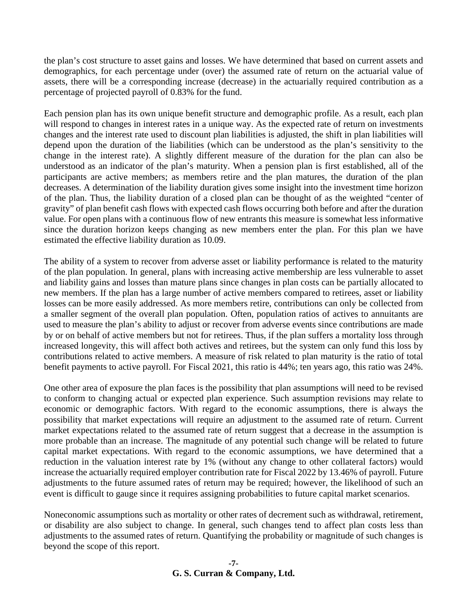the plan's cost structure to asset gains and losses. We have determined that based on current assets and demographics, for each percentage under (over) the assumed rate of return on the actuarial value of assets, there will be a corresponding increase (decrease) in the actuarially required contribution as a percentage of projected payroll of 0.83% for the fund.

Each pension plan has its own unique benefit structure and demographic profile. As a result, each plan will respond to changes in interest rates in a unique way. As the expected rate of return on investments changes and the interest rate used to discount plan liabilities is adjusted, the shift in plan liabilities will depend upon the duration of the liabilities (which can be understood as the plan's sensitivity to the change in the interest rate). A slightly different measure of the duration for the plan can also be understood as an indicator of the plan's maturity. When a pension plan is first established, all of the participants are active members; as members retire and the plan matures, the duration of the plan decreases. A determination of the liability duration gives some insight into the investment time horizon of the plan. Thus, the liability duration of a closed plan can be thought of as the weighted "center of gravity" of plan benefit cash flows with expected cash flows occurring both before and after the duration value. For open plans with a continuous flow of new entrants this measure is somewhat less informative since the duration horizon keeps changing as new members enter the plan. For this plan we have estimated the effective liability duration as 10.09.

The ability of a system to recover from adverse asset or liability performance is related to the maturity of the plan population. In general, plans with increasing active membership are less vulnerable to asset and liability gains and losses than mature plans since changes in plan costs can be partially allocated to new members. If the plan has a large number of active members compared to retirees, asset or liability losses can be more easily addressed. As more members retire, contributions can only be collected from a smaller segment of the overall plan population. Often, population ratios of actives to annuitants are used to measure the plan's ability to adjust or recover from adverse events since contributions are made by or on behalf of active members but not for retirees. Thus, if the plan suffers a mortality loss through increased longevity, this will affect both actives and retirees, but the system can only fund this loss by contributions related to active members. A measure of risk related to plan maturity is the ratio of total benefit payments to active payroll. For Fiscal 2021, this ratio is 44%; ten years ago, this ratio was 24%.

One other area of exposure the plan faces is the possibility that plan assumptions will need to be revised to conform to changing actual or expected plan experience. Such assumption revisions may relate to economic or demographic factors. With regard to the economic assumptions, there is always the possibility that market expectations will require an adjustment to the assumed rate of return. Current market expectations related to the assumed rate of return suggest that a decrease in the assumption is more probable than an increase. The magnitude of any potential such change will be related to future capital market expectations. With regard to the economic assumptions, we have determined that a reduction in the valuation interest rate by 1% (without any change to other collateral factors) would increase the actuarially required employer contribution rate for Fiscal 2022 by 13.46% of payroll. Future adjustments to the future assumed rates of return may be required; however, the likelihood of such an event is difficult to gauge since it requires assigning probabilities to future capital market scenarios.

Noneconomic assumptions such as mortality or other rates of decrement such as withdrawal, retirement, or disability are also subject to change. In general, such changes tend to affect plan costs less than adjustments to the assumed rates of return. Quantifying the probability or magnitude of such changes is beyond the scope of this report.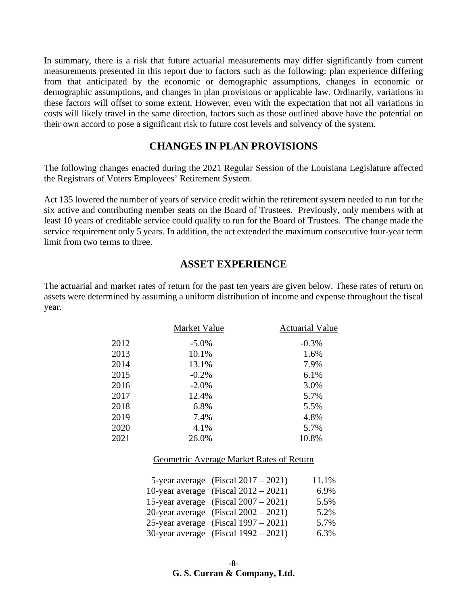In summary, there is a risk that future actuarial measurements may differ significantly from current measurements presented in this report due to factors such as the following: plan experience differing from that anticipated by the economic or demographic assumptions, changes in economic or demographic assumptions, and changes in plan provisions or applicable law. Ordinarily, variations in these factors will offset to some extent. However, even with the expectation that not all variations in costs will likely travel in the same direction, factors such as those outlined above have the potential on their own accord to pose a significant risk to future cost levels and solvency of the system.

#### **CHANGES IN PLAN PROVISIONS**

The following changes enacted during the 2021 Regular Session of the Louisiana Legislature affected the Registrars of Voters Employees' Retirement System.

Act 135 lowered the number of years of service credit within the retirement system needed to run for the six active and contributing member seats on the Board of Trustees. Previously, only members with at least 10 years of creditable service could qualify to run for the Board of Trustees. The change made the service requirement only 5 years. In addition, the act extended the maximum consecutive four-year term limit from two terms to three.

#### **ASSET EXPERIENCE**

The actuarial and market rates of return for the past ten years are given below. These rates of return on assets were determined by assuming a uniform distribution of income and expense throughout the fiscal year.

|      | Market Value | <b>Actuarial Value</b> |
|------|--------------|------------------------|
| 2012 | $-5.0\%$     | $-0.3%$                |
| 2013 | 10.1%        | 1.6%                   |
| 2014 | 13.1%        | 7.9%                   |
| 2015 | $-0.2%$      | 6.1%                   |
| 2016 | $-2.0%$      | 3.0%                   |
| 2017 | 12.4%        | 5.7%                   |
| 2018 | 6.8%         | 5.5%                   |
| 2019 | 7.4%         | 4.8%                   |
| 2020 | 4.1%         | 5.7%                   |
| 2021 | 26.0%        | 10.8%                  |

#### Geometric Average Market Rates of Return

| 5-year average (Fiscal $2017 - 2021$ )  | 11.1% |
|-----------------------------------------|-------|
| 10-year average (Fiscal $2012 - 2021$ ) | 6.9%  |
| 15-year average (Fiscal $2007 - 2021$ ) | 5.5%  |
| 20-year average (Fiscal $2002 - 2021$ ) | 5.2%  |
| 25-year average (Fiscal $1997 - 2021$ ) | 5.7%  |
| 30-year average (Fiscal $1992 - 2021$ ) | 6.3%  |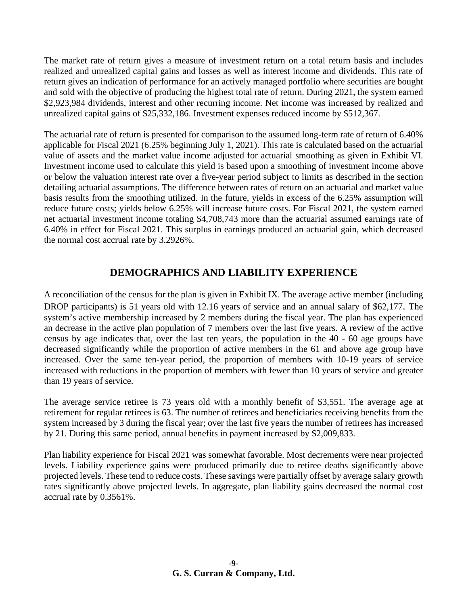The market rate of return gives a measure of investment return on a total return basis and includes realized and unrealized capital gains and losses as well as interest income and dividends. This rate of return gives an indication of performance for an actively managed portfolio where securities are bought and sold with the objective of producing the highest total rate of return. During 2021, the system earned \$2,923,984 dividends, interest and other recurring income. Net income was increased by realized and unrealized capital gains of \$25,332,186. Investment expenses reduced income by \$512,367.

The actuarial rate of return is presented for comparison to the assumed long-term rate of return of 6.40% applicable for Fiscal 2021 (6.25% beginning July 1, 2021). This rate is calculated based on the actuarial value of assets and the market value income adjusted for actuarial smoothing as given in Exhibit VI. Investment income used to calculate this yield is based upon a smoothing of investment income above or below the valuation interest rate over a five-year period subject to limits as described in the section detailing actuarial assumptions. The difference between rates of return on an actuarial and market value basis results from the smoothing utilized. In the future, yields in excess of the 6.25% assumption will reduce future costs; yields below 6.25% will increase future costs. For Fiscal 2021, the system earned net actuarial investment income totaling \$4,708,743 more than the actuarial assumed earnings rate of 6.40% in effect for Fiscal 2021. This surplus in earnings produced an actuarial gain, which decreased the normal cost accrual rate by 3.2926%.

# **DEMOGRAPHICS AND LIABILITY EXPERIENCE**

A reconciliation of the census for the plan is given in Exhibit IX. The average active member (including DROP participants) is 51 years old with 12.16 years of service and an annual salary of \$62,177. The system's active membership increased by 2 members during the fiscal year. The plan has experienced an decrease in the active plan population of 7 members over the last five years. A review of the active census by age indicates that, over the last ten years, the population in the 40 - 60 age groups have decreased significantly while the proportion of active members in the 61 and above age group have increased. Over the same ten-year period, the proportion of members with 10-19 years of service increased with reductions in the proportion of members with fewer than 10 years of service and greater than 19 years of service.

The average service retiree is 73 years old with a monthly benefit of \$3,551. The average age at retirement for regular retirees is 63. The number of retirees and beneficiaries receiving benefits from the system increased by 3 during the fiscal year; over the last five years the number of retirees has increased by 21. During this same period, annual benefits in payment increased by \$2,009,833.

Plan liability experience for Fiscal 2021 was somewhat favorable. Most decrements were near projected levels. Liability experience gains were produced primarily due to retiree deaths significantly above projected levels. These tend to reduce costs. These savings were partially offset by average salary growth rates significantly above projected levels. In aggregate, plan liability gains decreased the normal cost accrual rate by 0.3561%.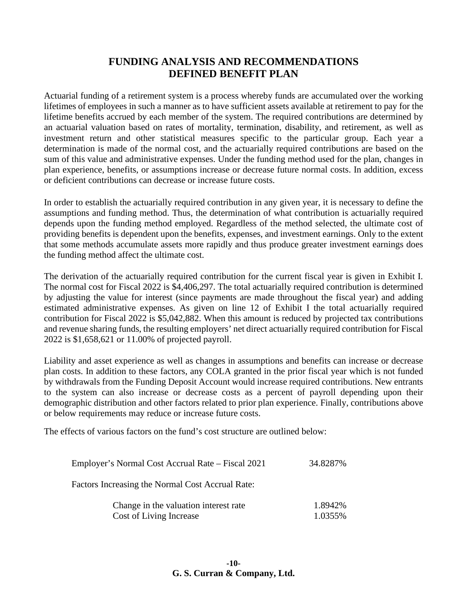## **FUNDING ANALYSIS AND RECOMMENDATIONS DEFINED BENEFIT PLAN**

Actuarial funding of a retirement system is a process whereby funds are accumulated over the working lifetimes of employees in such a manner as to have sufficient assets available at retirement to pay for the lifetime benefits accrued by each member of the system. The required contributions are determined by an actuarial valuation based on rates of mortality, termination, disability, and retirement, as well as investment return and other statistical measures specific to the particular group. Each year a determination is made of the normal cost, and the actuarially required contributions are based on the sum of this value and administrative expenses. Under the funding method used for the plan, changes in plan experience, benefits, or assumptions increase or decrease future normal costs. In addition, excess or deficient contributions can decrease or increase future costs.

In order to establish the actuarially required contribution in any given year, it is necessary to define the assumptions and funding method. Thus, the determination of what contribution is actuarially required depends upon the funding method employed. Regardless of the method selected, the ultimate cost of providing benefits is dependent upon the benefits, expenses, and investment earnings. Only to the extent that some methods accumulate assets more rapidly and thus produce greater investment earnings does the funding method affect the ultimate cost.

The derivation of the actuarially required contribution for the current fiscal year is given in Exhibit I. The normal cost for Fiscal 2022 is \$4,406,297. The total actuarially required contribution is determined by adjusting the value for interest (since payments are made throughout the fiscal year) and adding estimated administrative expenses. As given on line 12 of Exhibit I the total actuarially required contribution for Fiscal 2022 is \$5,042,882. When this amount is reduced by projected tax contributions and revenue sharing funds, the resulting employers' net direct actuarially required contribution for Fiscal 2022 is \$1,658,621 or 11.00% of projected payroll.

Liability and asset experience as well as changes in assumptions and benefits can increase or decrease plan costs. In addition to these factors, any COLA granted in the prior fiscal year which is not funded by withdrawals from the Funding Deposit Account would increase required contributions. New entrants to the system can also increase or decrease costs as a percent of payroll depending upon their demographic distribution and other factors related to prior plan experience. Finally, contributions above or below requirements may reduce or increase future costs.

The effects of various factors on the fund's cost structure are outlined below:

| Employer's Normal Cost Accrual Rate – Fiscal 2021 | 34.8287% |
|---------------------------------------------------|----------|
| Factors Increasing the Normal Cost Accrual Rate:  |          |
| Change in the valuation interest rate             | 1.8942%  |
| Cost of Living Increase                           | 1.0355%  |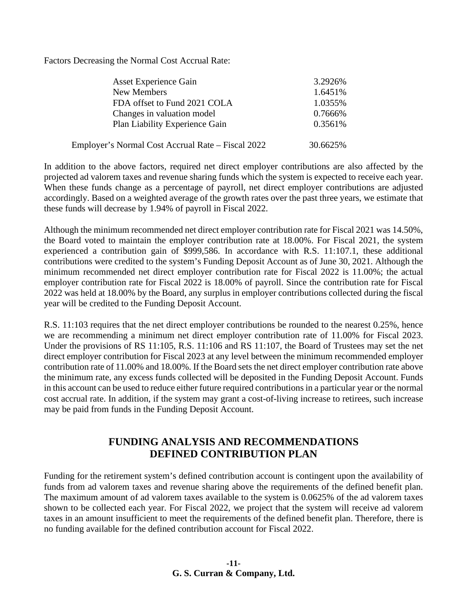Factors Decreasing the Normal Cost Accrual Rate:

| <b>Asset Experience Gain</b>                      | 3.2926%  |
|---------------------------------------------------|----------|
| New Members                                       | 1.6451%  |
| FDA offset to Fund 2021 COLA                      | 1.0355%  |
| Changes in valuation model                        | 0.7666%  |
| Plan Liability Experience Gain                    | 0.3561%  |
| Employer's Normal Cost Accrual Rate – Fiscal 2022 | 30.6625% |

In addition to the above factors, required net direct employer contributions are also affected by the projected ad valorem taxes and revenue sharing funds which the system is expected to receive each year. When these funds change as a percentage of payroll, net direct employer contributions are adjusted accordingly. Based on a weighted average of the growth rates over the past three years, we estimate that these funds will decrease by 1.94% of payroll in Fiscal 2022.

Although the minimum recommended net direct employer contribution rate for Fiscal 2021 was 14.50%, the Board voted to maintain the employer contribution rate at 18.00%. For Fiscal 2021, the system experienced a contribution gain of \$999,586. In accordance with R.S. 11:107.1, these additional contributions were credited to the system's Funding Deposit Account as of June 30, 2021. Although the minimum recommended net direct employer contribution rate for Fiscal 2022 is 11.00%; the actual employer contribution rate for Fiscal 2022 is 18.00% of payroll. Since the contribution rate for Fiscal 2022 was held at 18.00% by the Board, any surplus in employer contributions collected during the fiscal year will be credited to the Funding Deposit Account.

R.S. 11:103 requires that the net direct employer contributions be rounded to the nearest 0.25%, hence we are recommending a minimum net direct employer contribution rate of 11.00% for Fiscal 2023. Under the provisions of RS 11:105, R.S. 11:106 and RS 11:107, the Board of Trustees may set the net direct employer contribution for Fiscal 2023 at any level between the minimum recommended employer contribution rate of 11.00% and 18.00%. If the Board sets the net direct employer contribution rate above the minimum rate, any excess funds collected will be deposited in the Funding Deposit Account. Funds in this account can be used to reduce either future required contributions in a particular year or the normal cost accrual rate. In addition, if the system may grant a cost-of-living increase to retirees, such increase may be paid from funds in the Funding Deposit Account.

### **FUNDING ANALYSIS AND RECOMMENDATIONS DEFINED CONTRIBUTION PLAN**

Funding for the retirement system's defined contribution account is contingent upon the availability of funds from ad valorem taxes and revenue sharing above the requirements of the defined benefit plan. The maximum amount of ad valorem taxes available to the system is 0.0625% of the ad valorem taxes shown to be collected each year. For Fiscal 2022, we project that the system will receive ad valorem taxes in an amount insufficient to meet the requirements of the defined benefit plan. Therefore, there is no funding available for the defined contribution account for Fiscal 2022.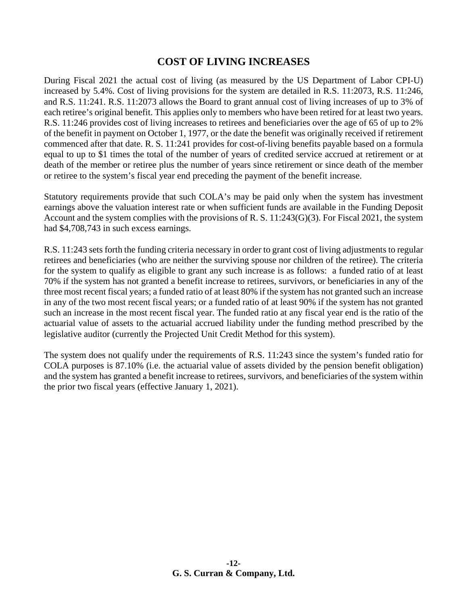#### **COST OF LIVING INCREASES**

During Fiscal 2021 the actual cost of living (as measured by the US Department of Labor CPI-U) increased by 5.4%. Cost of living provisions for the system are detailed in R.S. 11:2073, R.S. 11:246, and R.S. 11:241. R.S. 11:2073 allows the Board to grant annual cost of living increases of up to 3% of each retiree's original benefit. This applies only to members who have been retired for at least two years. R.S. 11:246 provides cost of living increases to retirees and beneficiaries over the age of 65 of up to 2% of the benefit in payment on October 1, 1977, or the date the benefit was originally received if retirement commenced after that date. R. S. 11:241 provides for cost-of-living benefits payable based on a formula equal to up to \$1 times the total of the number of years of credited service accrued at retirement or at death of the member or retiree plus the number of years since retirement or since death of the member or retiree to the system's fiscal year end preceding the payment of the benefit increase.

Statutory requirements provide that such COLA's may be paid only when the system has investment earnings above the valuation interest rate or when sufficient funds are available in the Funding Deposit Account and the system complies with the provisions of R. S. 11:243(G)(3). For Fiscal 2021, the system had \$4,708,743 in such excess earnings.

R.S. 11:243 sets forth the funding criteria necessary in order to grant cost of living adjustments to regular retirees and beneficiaries (who are neither the surviving spouse nor children of the retiree). The criteria for the system to qualify as eligible to grant any such increase is as follows: a funded ratio of at least 70% if the system has not granted a benefit increase to retirees, survivors, or beneficiaries in any of the three most recent fiscal years; a funded ratio of at least 80% if the system has not granted such an increase in any of the two most recent fiscal years; or a funded ratio of at least 90% if the system has not granted such an increase in the most recent fiscal year. The funded ratio at any fiscal year end is the ratio of the actuarial value of assets to the actuarial accrued liability under the funding method prescribed by the legislative auditor (currently the Projected Unit Credit Method for this system).

The system does not qualify under the requirements of R.S. 11:243 since the system's funded ratio for COLA purposes is 87.10% (i.e. the actuarial value of assets divided by the pension benefit obligation) and the system has granted a benefit increase to retirees, survivors, and beneficiaries of the system within the prior two fiscal years (effective January 1, 2021).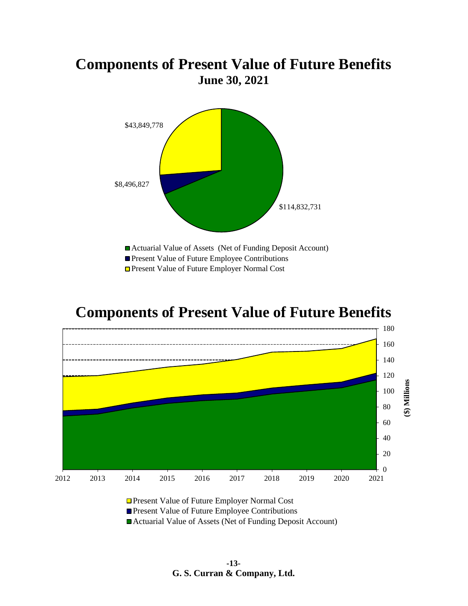# **Components of Present Value of Future Benefits June 30, 2021**



# **Components of Present Value of Future Benefits**





**Present Value of Future Employee Contributions** 

Actuarial Value of Assets (Net of Funding Deposit Account)

**-13- G. S. Curran & Company, Ltd.**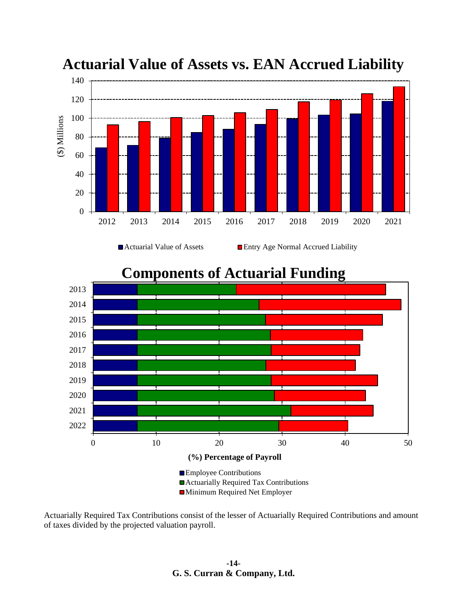

**Actuarial Value of Assets vs. EAN Accrued Liability**

**Components of Actuarial Funding**



Actuarially Required Tax Contributions consist of the lesser of Actuarially Required Contributions and amount of taxes divided by the projected valuation payroll.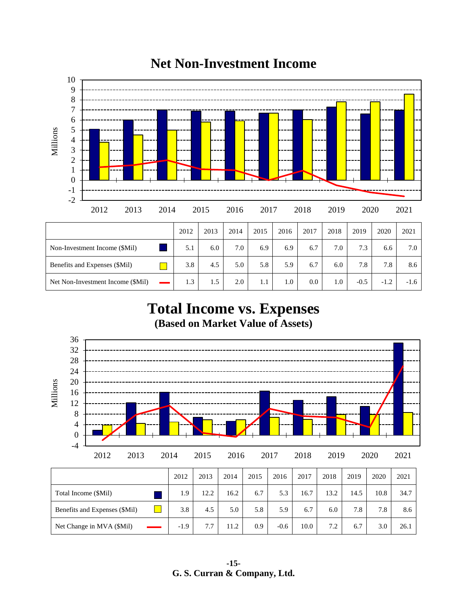

# **Net Non-Investment Income**

**Total Income vs. Expenses (Based on Market Value of Assets)**

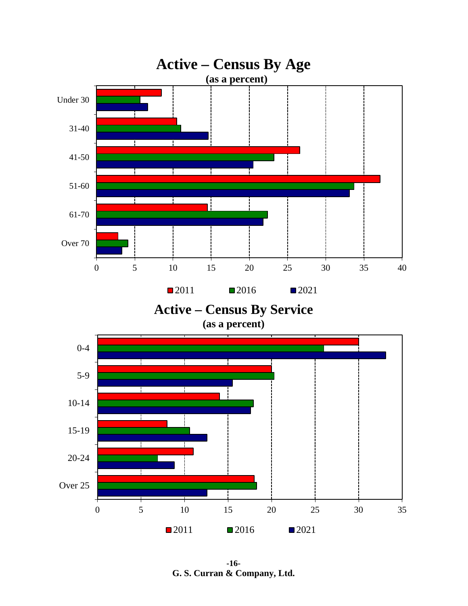

**-16- G. S. Curran & Company, Ltd.**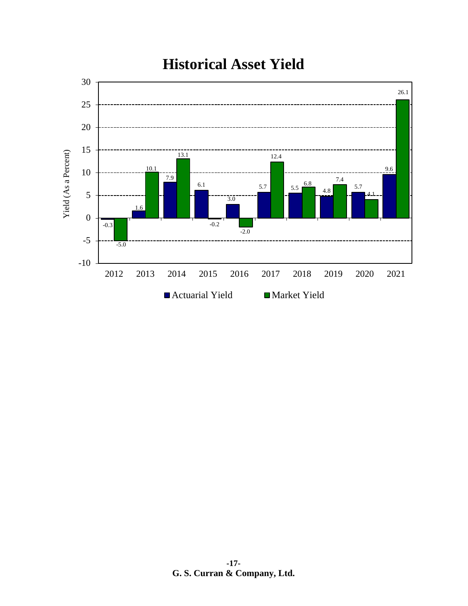

# **Historical Asset Yield**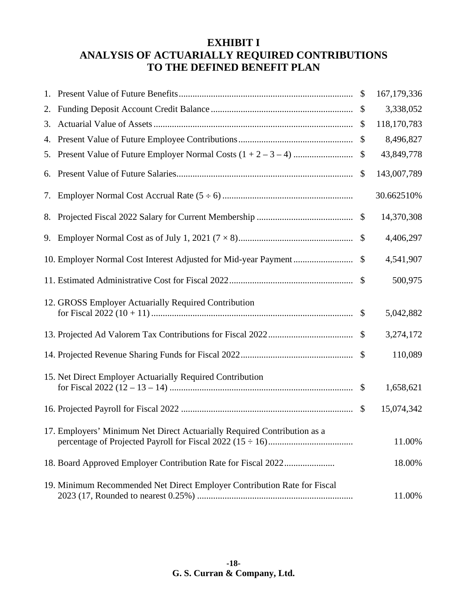# **EXHIBIT I ANALYSIS OF ACTUARIALLY REQUIRED CONTRIBUTIONS TO THE DEFINED BENEFIT PLAN**

| 1. |                                                                          |                           | 167, 179, 336 |
|----|--------------------------------------------------------------------------|---------------------------|---------------|
| 2. |                                                                          |                           | 3,338,052     |
| 3. |                                                                          |                           | 118,170,783   |
| 4. |                                                                          | \$                        | 8,496,827     |
| 5. |                                                                          |                           | 43,849,778    |
| 6. |                                                                          | $\boldsymbol{\mathsf{S}}$ | 143,007,789   |
| 7. |                                                                          |                           | 30.662510%    |
|    |                                                                          |                           | 14,370,308    |
|    |                                                                          |                           | 4,406,297     |
|    |                                                                          |                           | 4,541,907     |
|    |                                                                          |                           | 500,975       |
|    | 12. GROSS Employer Actuarially Required Contribution                     |                           |               |
|    |                                                                          |                           | 5,042,882     |
|    |                                                                          |                           | 3,274,172     |
|    |                                                                          |                           | 110,089       |
|    | 15. Net Direct Employer Actuarially Required Contribution                |                           |               |
|    |                                                                          |                           | 1,658,621     |
|    |                                                                          |                           | 15,074,342    |
|    | 17. Employers' Minimum Net Direct Actuarially Required Contribution as a |                           | 11.00%        |
|    |                                                                          |                           |               |
|    |                                                                          |                           | 18.00%        |
|    | 19. Minimum Recommended Net Direct Employer Contribution Rate for Fiscal |                           | 11.00%        |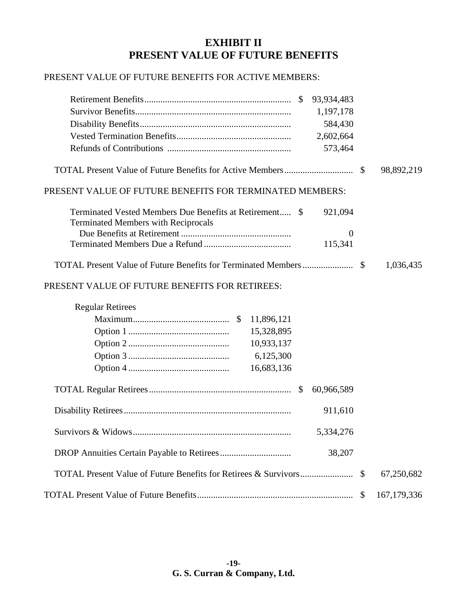## **EXHIBIT II PRESENT VALUE OF FUTURE BENEFITS**

#### PRESENT VALUE OF FUTURE BENEFITS FOR ACTIVE MEMBERS:

| $\mathcal{S}$<br>93,934,483                                                                                      |              |               |
|------------------------------------------------------------------------------------------------------------------|--------------|---------------|
| 1,197,178                                                                                                        |              |               |
| 584,430                                                                                                          |              |               |
| 2,602,664                                                                                                        |              |               |
| 573,464                                                                                                          |              |               |
|                                                                                                                  | $\mathbb{S}$ | 98,892,219    |
| PRESENT VALUE OF FUTURE BENEFITS FOR TERMINATED MEMBERS:                                                         |              |               |
| Terminated Vested Members Due Benefits at Retirement \$<br>921,094<br><b>Terminated Members with Reciprocals</b> |              |               |
| $\overline{0}$                                                                                                   |              |               |
| 115,341                                                                                                          |              |               |
|                                                                                                                  |              | 1,036,435     |
| PRESENT VALUE OF FUTURE BENEFITS FOR RETIREES:                                                                   |              |               |
| <b>Regular Retirees</b>                                                                                          |              |               |
| 11,896,121                                                                                                       |              |               |
| 15,328,895                                                                                                       |              |               |
| 10,933,137                                                                                                       |              |               |
| 6,125,300                                                                                                        |              |               |
| 16,683,136                                                                                                       |              |               |
| $\mathcal{S}$<br>60,966,589                                                                                      |              |               |
| 911,610                                                                                                          |              |               |
| 5,334,276                                                                                                        |              |               |
| 38,207                                                                                                           |              |               |
|                                                                                                                  | \$           | 67,250,682    |
|                                                                                                                  | \$           | 167, 179, 336 |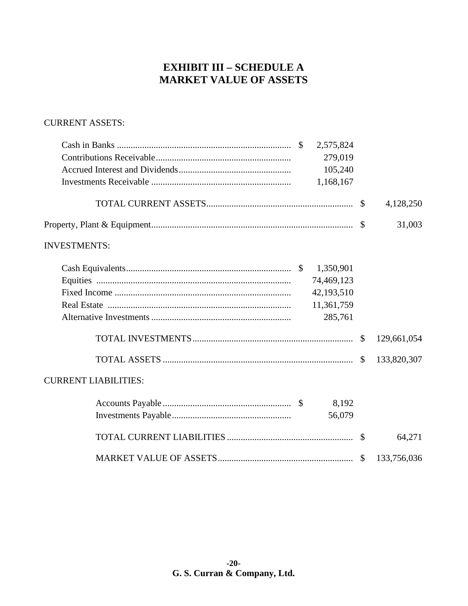# **EXHIBIT III - SCHEDULE A MARKET VALUE OF ASSETS**

#### **CURRENT ASSETS:**

| 2,575,824                   |             |
|-----------------------------|-------------|
| 279,019                     |             |
| 105,240                     |             |
| 1,168,167                   |             |
|                             | 4,128,250   |
|                             | 31,003      |
| <b>INVESTMENTS:</b>         |             |
| 1,350,901                   |             |
| 74,469,123                  |             |
| 42,193,510                  |             |
| 11,361,759                  |             |
| 285,761                     |             |
|                             | 129,661,054 |
|                             | 133,820,307 |
| <b>CURRENT LIABILITIES:</b> |             |
| 8,192                       |             |
| 56,079                      |             |
|                             | 64,271      |
|                             | 133,756,036 |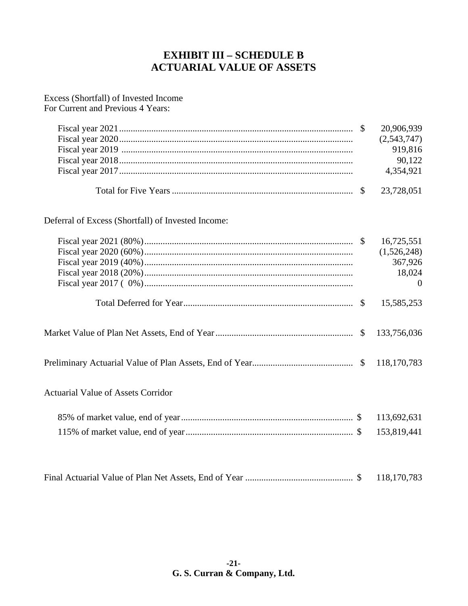# **EXHIBIT III – SCHEDULE B ACTUARIAL VALUE OF ASSETS**

#### Excess (Shortfall) of Invested Income For Current and Previous 4 Years:

Fiscal year 2021...................................................................................................... \$ 20,906,939 Fiscal year 2020...................................................................................................... (2,543,747) Fiscal year 2019 ..................................................................................................... 919,816 Fiscal year 2018...................................................................................................... 90,122 Fiscal year 2017...................................................................................................... 4,354,921 Total for Five Years............................................................................... \$ 23,728,051

Deferral of Excess (Shortfall) of Invested Income:

|                                           | 16,725,551  |
|-------------------------------------------|-------------|
|                                           | (1,526,248) |
|                                           | 367,926     |
|                                           | 18,024      |
|                                           | $\Omega$    |
|                                           | 15,585,253  |
|                                           | 133,756,036 |
|                                           |             |
| <b>Actuarial Value of Assets Corridor</b> |             |
|                                           | 113,692,631 |
|                                           | 153,819,441 |
|                                           | 118,170,783 |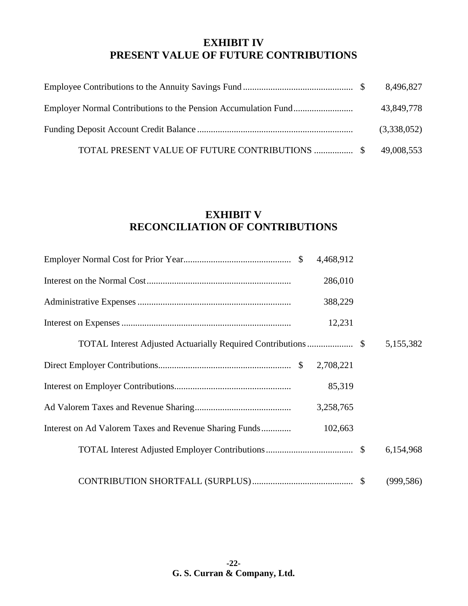## **EXHIBIT IV PRESENT VALUE OF FUTURE CONTRIBUTIONS**

|                                                           | 43,849,778  |
|-----------------------------------------------------------|-------------|
|                                                           | (3,338,052) |
| TOTAL PRESENT VALUE OF FUTURE CONTRIBUTIONS  \$49,008,553 |             |

# **EXHIBIT V RECONCILIATION OF CONTRIBUTIONS**

| 4,468,912                                                         |            |
|-------------------------------------------------------------------|------------|
| 286,010                                                           |            |
| 388,229                                                           |            |
| 12,231                                                            |            |
|                                                                   | 5,155,382  |
| 2,708,221                                                         |            |
| 85,319                                                            |            |
| 3,258,765                                                         |            |
| Interest on Ad Valorem Taxes and Revenue Sharing Funds<br>102,663 |            |
|                                                                   | 6,154,968  |
|                                                                   | (999, 586) |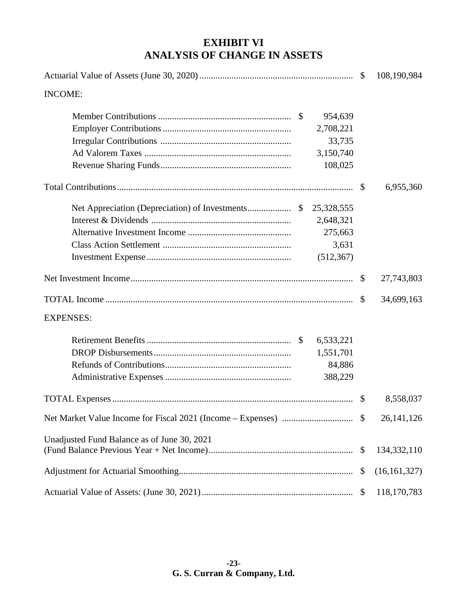# **EXHIBIT VI ANALYSIS OF CHANGE IN ASSETS**

|                                                              | $\mathcal{S}$             | 108,190,984    |
|--------------------------------------------------------------|---------------------------|----------------|
| <b>INCOME:</b>                                               |                           |                |
| 954,639<br>2,708,221<br>33,735<br>3,150,740<br>108,025       |                           |                |
|                                                              |                           | 6,955,360      |
| 25,328,555<br>2,648,321<br>275,663<br>3,631<br>(512, 367)    |                           |                |
|                                                              | $\mathbb{S}$              | 27,743,803     |
|                                                              | <sup>\$</sup>             | 34,699,163     |
| <b>EXPENSES:</b>                                             |                           |                |
| 6,533,221<br>$\mathcal{S}$<br>1,551,701<br>84,886<br>388,229 |                           |                |
|                                                              | $\mathbb{S}$              | 8,558,037      |
|                                                              |                           | 26, 141, 126   |
| Unadjusted Fund Balance as of June 30, 2021                  | \$                        | 134, 332, 110  |
|                                                              | $\mathcal{S}$             | (16, 161, 327) |
|                                                              | $\boldsymbol{\mathsf{S}}$ | 118,170,783    |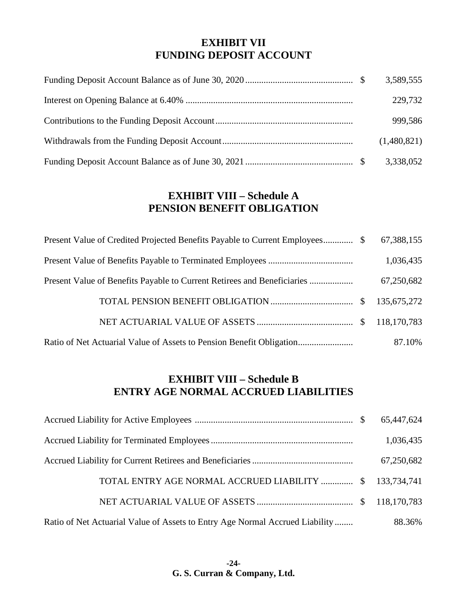### **EXHIBIT VII FUNDING DEPOSIT ACCOUNT**

|  | 3,589,555   |
|--|-------------|
|  | 229,732     |
|  | 999,586     |
|  | (1,480,821) |
|  | 3,338,052   |

## **EXHIBIT VIII – Schedule A PENSION BENEFIT OBLIGATION**

|  | 67,388,155 |
|--|------------|
|  | 1,036,435  |
|  | 67,250,682 |
|  |            |
|  |            |
|  | 87.10%     |

# **EXHIBIT VIII – Schedule B ENTRY AGE NORMAL ACCRUED LIABILITIES**

|                                                                              | 1,036,435  |
|------------------------------------------------------------------------------|------------|
|                                                                              | 67,250,682 |
| TOTAL ENTRY AGE NORMAL ACCRUED LIABILITY  \$133,734,741                      |            |
|                                                                              |            |
| Ratio of Net Actuarial Value of Assets to Entry Age Normal Accrued Liability | 88.36%     |

**-24- G. S. Curran & Company, Ltd.**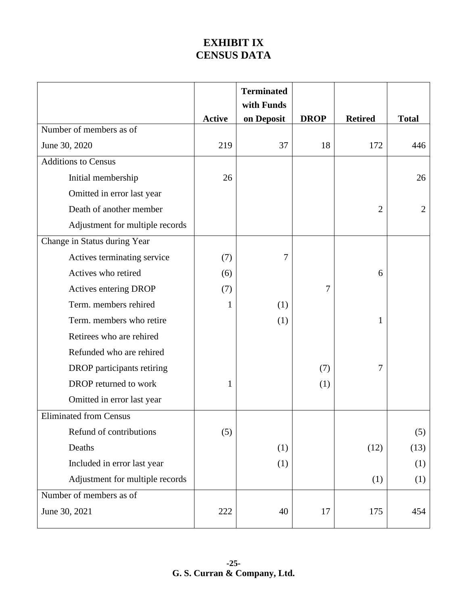# **EXHIBIT IX CENSUS DATA**

|                                 |               | <b>Terminated</b> |             |                |                |
|---------------------------------|---------------|-------------------|-------------|----------------|----------------|
|                                 |               | with Funds        |             |                |                |
| Number of members as of         | <b>Active</b> | on Deposit        | <b>DROP</b> | <b>Retired</b> | <b>Total</b>   |
| June 30, 2020                   | 219           | 37                | 18          | 172            | 446            |
| <b>Additions to Census</b>      |               |                   |             |                |                |
| Initial membership              | 26            |                   |             |                | 26             |
| Omitted in error last year      |               |                   |             |                |                |
| Death of another member         |               |                   |             | $\overline{2}$ | $\overline{2}$ |
| Adjustment for multiple records |               |                   |             |                |                |
| Change in Status during Year    |               |                   |             |                |                |
| Actives terminating service     | (7)           | 7                 |             |                |                |
| Actives who retired             | (6)           |                   |             | 6              |                |
| Actives entering DROP           | (7)           |                   | 7           |                |                |
| Term. members rehired           | 1             | (1)               |             |                |                |
| Term. members who retire        |               | (1)               |             | $\mathbf{1}$   |                |
| Retirees who are rehired        |               |                   |             |                |                |
| Refunded who are rehired        |               |                   |             |                |                |
| DROP participants retiring      |               |                   | (7)         | 7              |                |
| DROP returned to work           | 1             |                   | (1)         |                |                |
| Omitted in error last year      |               |                   |             |                |                |
| <b>Eliminated from Census</b>   |               |                   |             |                |                |
| Refund of contributions         | (5)           |                   |             |                | (5)            |
| Deaths                          |               | (1)               |             | (12)           | (13)           |
| Included in error last year     |               | (1)               |             |                | (1)            |
| Adjustment for multiple records |               |                   |             | (1)            | (1)            |
| Number of members as of         |               |                   |             |                |                |
| June 30, 2021                   | 222           | 40                | 17          | 175            | 454            |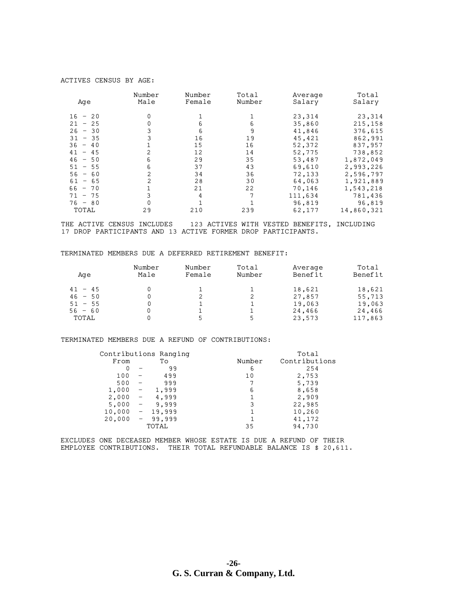#### ACTIVES CENSUS BY AGE:

| Age       | Number<br>Male | Number<br>Female | Total<br>Number | Average<br>Salary | Total<br>Salary |
|-----------|----------------|------------------|-----------------|-------------------|-----------------|
| $16 - 20$ | 0              |                  |                 | 23,314            | 23,314          |
| $21 - 25$ |                |                  | 6               | 35,860            | 215,158         |
| $26 - 30$ |                | 6                | 9               | 41,846            | 376,615         |
| $31 - 35$ |                | 16               | 19              | 45.421            | 862,991         |
| $36 - 40$ |                | 15               | 16              | 52,372            | 837,957         |
| $41 - 45$ |                | 12               | 14              | 52,775            | 738,852         |
| $46 - 50$ | 6              | 29               | 35              | 53,487            | 1,872,049       |
| $51 - 55$ | 6              | 37               | 43              | 69,610            | 2,993,226       |
| $56 - 60$ | 2              | 34               | 36              | 72,133            | 2,596,797       |
| $61 - 65$ |                | 28               | 30              | 64,063            | 1,921,889       |
| $66 - 70$ |                | 21               | 22              | 70,146            | 1,543,218       |
| $71 - 75$ |                | 4                | 7               | 111,634           | 781,436         |
| $76 - 80$ |                |                  |                 | 96.819            | 96,819          |
| TOTAL     | 29             | 210              | 239             | 62,177            | 14,860,321      |

THE ACTIVE CENSUS INCLUDES 123 ACTIVES WITH VESTED BENEFITS, INCLUDING 17 DROP PARTICIPANTS AND 13 ACTIVE FORMER DROP PARTICIPANTS.

TERMINATED MEMBERS DUE A DEFERRED RETIREMENT BENEFIT:

| Age       | Number<br>Male | Number<br>Female | Total<br>Number | Average<br>Benefit | Total<br>Benefit |
|-----------|----------------|------------------|-----------------|--------------------|------------------|
| $41 - 45$ |                |                  |                 | 18,621             | 18,621           |
| $46 - 50$ | 0              |                  |                 | 27,857             | 55,713           |
| $51 - 55$ |                |                  |                 | 19,063             | 19,063           |
| $56 - 60$ |                |                  |                 | 24,466             | 24,466           |
| TOTAL     |                |                  |                 | 23,573             | 117,863          |

TERMINATED MEMBERS DUE A REFUND OF CONTRIBUTIONS:

|        | Contributions Ranging |        | Total         |
|--------|-----------------------|--------|---------------|
| From   | Tо                    | Number | Contributions |
|        | 99                    | 6      | 254           |
| 100    | 499                   | 10     | 2,753         |
| 500    | 999                   |        | 5,739         |
| 1,000  | 1,999                 | 6      | 8,658         |
| 2,000  | 4,999                 |        | 2,909         |
| 5,000  | 9,999                 | 3      | 22,985        |
| 10,000 | 19.999                |        | 10,260        |
| 20,000 | 99,999                |        | 41,172        |
|        | TOTAL                 | 35     | 94,730        |

EXCLUDES ONE DECEASED MEMBER WHOSE ESTATE IS DUE A REFUND OF THEIR EMPLOYEE CONTRIBUTIONS. THEIR TOTAL REFUNDABLE BALANCE IS \$ 20,611.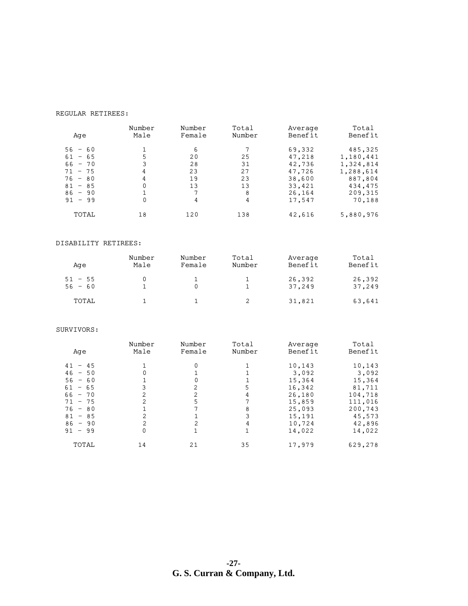#### REGULAR RETIREES:

| Age                    | Number<br>Male | Number<br>Female | Total<br>Number | Average<br>Benefit | Total<br>Benefit     |
|------------------------|----------------|------------------|-----------------|--------------------|----------------------|
| $56 - 60$<br>$61 - 65$ | 5              | 6<br>20          | 25              | 69,332<br>47,218   | 485,325<br>1,180,441 |
| $66 - 70$              |                | 28               | 31              | 42,736             | 1,324,814            |
| $71 - 75$<br>$76 - 80$ | 4<br>4         | 23<br>19         | 27<br>23        | 47,726<br>38,600   | 1,288,614<br>887,804 |
| $81 - 85$<br>$86 - 90$ | 0              | 13<br>7          | 13<br>8         | 33,421<br>26,164   | 434,475<br>209,315   |
| $91 - 99$              |                | 4                | 4               | 17,547             | 70,188               |
| TOTAL                  | 18             | 120              | 138             | 42,616             | 5,880,976            |

#### DISABILITY RETIREES:

| Aqe                    | Number<br>Male | Number<br>Female | Total<br>Number | Average<br>Benefit | Total<br>Benefit |
|------------------------|----------------|------------------|-----------------|--------------------|------------------|
| $51 - 55$<br>$56 - 60$ |                |                  |                 | 26,392<br>37,249   | 26,392<br>37,249 |
| TOTAL                  |                |                  |                 | 31,821             | 63,641           |

#### SURVIVORS:

| Age       | Number<br>Male | Number<br>Female | Total<br>Number | Average<br>Benefit | Total<br>Benefit |
|-----------|----------------|------------------|-----------------|--------------------|------------------|
| $41 - 45$ |                |                  |                 | 10,143             | 10,143           |
| $46 - 50$ | 0              |                  |                 | 3,092              | 3,092            |
| $56 - 60$ |                |                  |                 | 15,364             | 15,364           |
| $61 - 65$ |                | 2                | 5               | 16,342             | 81,711           |
| $66 - 70$ | 2              | 2                |                 | 26,180             | 104,718          |
| $71 - 75$ | 2              |                  |                 | 15,859             | 111,016          |
| $76 - 80$ |                |                  | 8               | 25,093             | 200,743          |
| $81 - 85$ |                |                  |                 | 15,191             | 45,573           |
| $86 - 90$ |                | 2                |                 | 10,724             | 42,896           |
| $91 - 99$ | 0              |                  |                 | 14,022             | 14,022           |
| TOTAL     | 14             | 21               | 35              | 17,979             | 629,278          |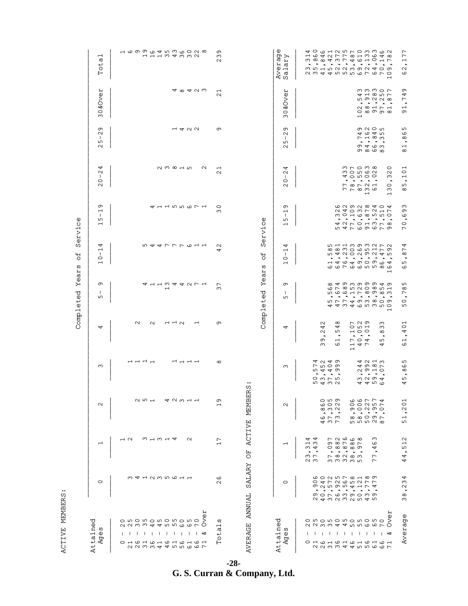| FMBERS               |
|----------------------|
| ļ<br>・トーモて<br>;<br>ג |

| Attained<br>w<br>Age:                                                                                                                                                                                                                                                                         | $\circ$                                                                                                            | ⊣                                                                                                                                                                                                                                                                                                                                                  | $\mathbf{\Omega}$                                                                                                                                                                                                                                                                                                                        | S                                                                                                                                                                                                                                                                                                                                                                                           | 4                                                                                                                                                                                                                                                                                                                                              | თ<br>$\mathbf{I}$<br>ഗ                                                                                                                                                                                    | 4<br>$\overline{\phantom{0}}$<br>$\mathbf{I}$<br>$\circ$                                                             | თ<br>ᅱ<br>$\mathbf{I}$<br>ഹ<br>$\overline{\phantom{0}}$                                        | ₹<br>$\mathbf{\Omega}$<br>л.<br>$\circ$<br>$\mathbf{\Omega}$                                                                                                                                                                                                                                                                                      | თ<br>$\mathbf{\Omega}$<br>$\mathbf{I}$<br>ഹ<br>$\mathbf{\Omega}$                                        | <b>&amp;Over</b><br>$\circ$<br>ო                                             | $\overline{\phantom{0}}$<br>đ<br>Tot.                    |
|-----------------------------------------------------------------------------------------------------------------------------------------------------------------------------------------------------------------------------------------------------------------------------------------------|--------------------------------------------------------------------------------------------------------------------|----------------------------------------------------------------------------------------------------------------------------------------------------------------------------------------------------------------------------------------------------------------------------------------------------------------------------------------------------|------------------------------------------------------------------------------------------------------------------------------------------------------------------------------------------------------------------------------------------------------------------------------------------------------------------------------------------|---------------------------------------------------------------------------------------------------------------------------------------------------------------------------------------------------------------------------------------------------------------------------------------------------------------------------------------------------------------------------------------------|------------------------------------------------------------------------------------------------------------------------------------------------------------------------------------------------------------------------------------------------------------------------------------------------------------------------------------------------|-----------------------------------------------------------------------------------------------------------------------------------------------------------------------------------------------------------|----------------------------------------------------------------------------------------------------------------------|------------------------------------------------------------------------------------------------|---------------------------------------------------------------------------------------------------------------------------------------------------------------------------------------------------------------------------------------------------------------------------------------------------------------------------------------------------|---------------------------------------------------------------------------------------------------------|------------------------------------------------------------------------------|----------------------------------------------------------|
| ہے<br>0<br>$\delta$<br>o w o w o w o w o w o<br><i>NNMA4RBGGL</i><br>$\mathbf{I}$<br>$\mathbf{I}$<br>$\mathbf{I}$<br>$\mathbf{I}$<br>$\overline{1}$<br>$\blacksquare$<br>లర<br>$\overline{1}$<br>$\mathbf{I}$<br>$\mathbf{1}$<br>$\mathbf{I}$<br>O H W H W H W H W H O<br>22 24 5 5 6 7 7 8 7 | 341235611                                                                                                          | $\overline{a}$<br>ຕ ⊣ ຕ ⊣ ⊄<br>$\mathbf{\Omega}$                                                                                                                                                                                                                                                                                                   | QDH<br>42311                                                                                                                                                                                                                                                                                                                             | ㅋㅋㅋㅋ                                                                                                                                                                                                                                                                                                                                                                                        | $\sim$<br>$\mathbf{\Omega}$<br>$-1$ $-1$ $\alpha$<br>$\overline{ }$                                                                                                                                                                                                                                                                            | 411344271<br>$\overline{\phantom{0}}$                                                                                                                                                                     | 544777611                                                                                                            | 4 1 1 5 5 6 7 1                                                                                | $Q \circ Q \circ Q$<br>$\sim$                                                                                                                                                                                                                                                                                                                     | $-4$ $-4$ $\circ$                                                                                       | <b>A ∞ 4 U W</b>                                                             | <b>100004536008</b><br>11134332                          |
| ω<br>⊣<br>đ<br>$\vec{c}$<br>⊢                                                                                                                                                                                                                                                                 | ڡ<br>$\sim$                                                                                                        | $\overline{ }$<br>$\overline{\phantom{0}}$                                                                                                                                                                                                                                                                                                         | თ<br>$\overline{\phantom{0}}$                                                                                                                                                                                                                                                                                                            | $\infty$                                                                                                                                                                                                                                                                                                                                                                                    | თ                                                                                                                                                                                                                                                                                                                                              | $\overline{ }$<br>ო                                                                                                                                                                                       | $\sim$<br>4                                                                                                          | $\circ$<br>ო                                                                                   | $\overline{\phantom{0}}$<br>$\sim$                                                                                                                                                                                                                                                                                                                | თ                                                                                                       | $\mathbf \blacksquare$<br>$\sim$                                             | $\sigma$<br>ო<br>$\sim$                                  |
| AVERAGE ANNUAL                                                                                                                                                                                                                                                                                | SALARY                                                                                                             | <b>ACTIVE</b><br>FO                                                                                                                                                                                                                                                                                                                                | MEMBERS                                                                                                                                                                                                                                                                                                                                  |                                                                                                                                                                                                                                                                                                                                                                                             |                                                                                                                                                                                                                                                                                                                                                | Year<br>Completed                                                                                                                                                                                         | $\overline{\sigma}$<br>w                                                                                             | $\mathbf 0$<br>Servic                                                                          |                                                                                                                                                                                                                                                                                                                                                   |                                                                                                         |                                                                              |                                                          |
| Attained<br>ω<br>Ф<br>Ag <sup>r</sup>                                                                                                                                                                                                                                                         | $\circ$                                                                                                            | ᅱ                                                                                                                                                                                                                                                                                                                                                  | $\mathbf{\Omega}$                                                                                                                                                                                                                                                                                                                        | ო                                                                                                                                                                                                                                                                                                                                                                                           | 4                                                                                                                                                                                                                                                                                                                                              | თ<br>$\mathbf{I}$<br>ъ                                                                                                                                                                                    | 4<br>$\overline{\phantom{0}}$<br>$\mathbf{I}$<br>0<br>$\overline{\phantom{0}}$                                       | თ<br>$\overline{\phantom{0}}$<br>$\mathbf{L}$<br>ഗ<br>$\overline{ }$                           | 4<br>$\sim$<br>$\mathbf{I}$<br>$\circ$<br>$\sim$                                                                                                                                                                                                                                                                                                  | თ<br>$\sim$<br>$\mathbf{I}$<br>ഗ<br>$\mathbf{\sim}$                                                     | <b>Jano</b> :<br>ళ<br>$\circ$<br>ო                                           | Φ<br>≺ יס<br>μĎ Ď<br>Avera<br>Salan                      |
| ά<br>o wo wo wo wo wo<br>$\delta$<br>N N M M <del>4</del> 4 10 10 10 10<br>$\overline{ }$<br>- 11<br>$\mathbf{I}$<br>$\mathbf{1}$ $\mathbf{1}$ $\mathbf{1}$<br>$\overline{1}$<br>$1 \cdot 1 \cdot 1$<br>∣ ∾ಶ<br>I.<br>онононононо<br><i>N</i> N m m 4 4 5 5 6 6 7                             | 0000000000<br>9 25954174<br>$\bullet$<br><b>.</b><br>$\blacksquare$<br>$\bullet$<br>O O N W W O O W O<br>243232545 | $\Gamma$ $\alpha$ $\omega$ $\alpha$<br>ო<br>4<br>◅<br>$\overline{1}$ m<br>$\circ$ $\circ$ $\circ$ $\circ$ $\circ$<br>ڡ<br><b>0 ∞ ∞ ∞ ന</b><br>4<br>ω<br>4<br>$\bullet$<br>$\bullet$<br>$\bullet$<br>$\bullet$<br>$\bullet$<br>$\overline{\phantom{a}}$<br>$\sim$ $\sim$<br>$\overline{r}$<br>r ∞ N ∞ m<br>$\sim$ $\sim$<br>mmmmm<br>$\overline{ }$ | O ഥ ന<br>۱ ۵ ۵ م<br>$\overline{\phantom{a}}$<br>00057<br>$\circ$ $\circ$<br>$\circ$<br>$\infty$ m $\sim$<br>のつへのつ<br>$\ddot{\phantom{1}}$<br>$\blacksquare$<br>$\blacksquare$<br>$\blacksquare$<br>$\blacktriangle$<br>$\hat{\phantom{a}}$<br>$\ddot{\phantom{1}}$<br>۳ م م<br>$\circ \circ \circ \circ \circ$<br><b>555</b> 56<br>4 3 7 | 4 U 4 W<br>4 N H M<br>r n o o<br>$4\;$ $\omega \;$ $\sim$ $\sim$<br>n 4 4 0<br>$\alpha$ $\alpha$ $\alpha$<br>$\begin{array}{ccccccccccccc} \bullet & \bullet & \bullet & \bullet & \bullet & \bullet \end{array}$<br>$\begin{array}{cccccccccccccc} \bullet & \bullet & \bullet & \bullet & \bullet & \bullet & \bullet \end{array}$<br>ロコフロ<br>$m \vee m$<br><b>5432</b><br><i>ഷ ഷ</i> ო დ | $P$ $Q$ $Q$<br>$\infty$<br>$\mathbf{\Omega}$<br>ო<br>4<br>$\circ$ m $\circ$<br>ო<br>4<br>Б<br>$\overline{a}$ $\overline{a}$ $\overline{b}$<br>$\sim$<br>$\infty$<br>$\sim$ $\sim$ $\sim$<br>$\bullet$<br>$\bullet$<br>$\bullet$<br>$P^{\circ}$ $Q$ 4<br>თ<br>$\overline{\phantom{0}}$<br>ഗ<br>$-47$<br>ڡ<br>ო<br>4<br>$\overline{\phantom{0}}$ | <b>678586854</b><br>n c c <sub>H</sub> r ∞ ω ∞ ω<br>. <b>.</b><br>$\mathfrak{w}\rhd\mathfrak{c}\rhd\mathfrak{a}\rhd\mathfrak{w}\rhd\mathfrak{a}\rhd\mathfrak{a}$<br>443465350<br>$\overline{\phantom{0}}$ | <b>ちょ」ののうりて</b><br>∞∞ ∞ o ω ω ⊣ r ω<br><b>542020245</b><br>. <b>.</b><br><b>H 4 4 4 9 0 9 4</b><br>co co co co co co | <b>GNON@TOT</b><br>24037217<br>wo н т о т по<br><b>.</b><br>4 2 7 0 1 3 7 8<br>n 4 L O W O L W | $m \sim \circ m$ $\infty$<br>$\circ$<br><b>MONGU</b><br>$\sim$<br><b>A O N O O</b><br>ω<br>$\begin{array}{cccccccccccccc} \bullet & \bullet & \bullet & \bullet & \bullet & \bullet & \bullet & \bullet \end{array}$<br>$\bullet$<br>$P$ $\infty$ $P$ $\sim$ $H$<br>$\circ$<br>ワフ836<br>S<br>$\overline{\phantom{0}}$<br>$\overline{\phantom{0}}$ | のひっか<br><b>4645</b><br>$\Gamma$ $\vdash$ $\infty$ $\omega$<br>$\cdots$<br>თ <del>ჟ</del> ს ო<br>ത ര ധ ര | mmmor<br>⊲∪∞⊢⊅<br><b>.</b><br>28171<br>ഠ ∞ ത ത ∞<br>$\overline{\phantom{0}}$ | 40 6125703362<br>M h H H N N M M M 4 O M<br>234455567670 |

71 & Over 109,700 × 109,329 × 164,592 × 164,592 × 169,64,592 × 1874 130,320 × 109,77 × 109,782 Average 38,234 44,512 51,201 45,865 61,401 50,785 65,874 70,693 85,101 81,865 91,749 62,177

62,177

91,749

81,865

85,101

70,693

65,874

50,785

61,401

45,865

51,201

44,512

38,234

Average

**-28 - G. S. Curran & Company, Ltd.**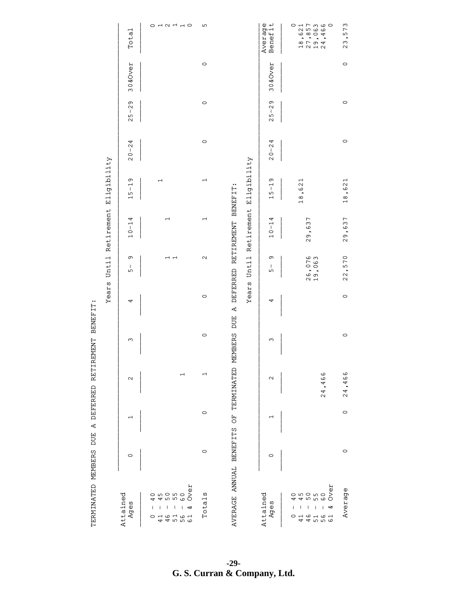| Total<br>30&Over                            | $O$ $H$ $N$ $H$ $H$ $O$                                                                                                                                                                                 | ഹ<br>$\circ$             | Average<br>Benefit<br>18,621<br>27,8557<br>27,466<br>24,466<br>30&Over                                                                                                 | ო<br>57<br>$\bullet$<br>ო<br>$\mathsf{\sim}$<br>$\circ$ |
|---------------------------------------------|---------------------------------------------------------------------------------------------------------------------------------------------------------------------------------------------------------|--------------------------|------------------------------------------------------------------------------------------------------------------------------------------------------------------------|---------------------------------------------------------|
| თ<br>$\mathbf{\Omega}$<br>$\mathsf I$<br>25 |                                                                                                                                                                                                         | $\circ$                  | თ<br>$\mathbf{\Omega}$<br>$\mathsf{I}$<br>ഹ<br>$\mathbf{\Omega}$                                                                                                       | $\circ$                                                 |
| 4<br>$20 - 24$                              |                                                                                                                                                                                                         | $\circ$                  | $0 - 24$<br>$\sim$                                                                                                                                                     | $\circ$                                                 |
| თ<br>$\overline{1}$<br>15                   | $\overline{\phantom{0}}$                                                                                                                                                                                | $\overline{\phantom{0}}$ | Eligibility<br>თ<br>18,621<br>$\overline{1}$<br>ഗ<br>$\overline{ }$                                                                                                    | 18,621                                                  |
| 4<br>$10 - 1$                               | $\overline{ }$                                                                                                                                                                                          | $\overline{\phantom{0}}$ | A DEFERRED RETIREMENT BENEFIT:<br>Retirement<br>4<br>29,637<br>$\overline{1}$<br>$\frac{0}{1}$                                                                         | 29,637                                                  |
| თ<br>T<br>ഹ                                 | $\overline{\phantom{0}}$                                                                                                                                                                                | $\mathbf{\Omega}$        | Until<br>26,076<br>19,063<br>თ<br>T<br>ഥ                                                                                                                               | 22,570                                                  |
| 4                                           |                                                                                                                                                                                                         | $\circ$                  | Years<br>4<br>DUE                                                                                                                                                      | $\circ$                                                 |
| $\infty$                                    |                                                                                                                                                                                                         | $\circ$                  | ω                                                                                                                                                                      | $\circ$                                                 |
| $\sim$                                      | T                                                                                                                                                                                                       | $\overline{\phantom{0}}$ | $\sim$                                                                                                                                                                 | 24,466<br>466<br>$\bullet$<br>24                        |
| H                                           |                                                                                                                                                                                                         | $\circ$                  | H                                                                                                                                                                      | $\circ$                                                 |
| $\circ$                                     |                                                                                                                                                                                                         | $\circ$                  | $\circ$                                                                                                                                                                | $\circ$                                                 |
| Attained<br>Ages                            | Over<br>55<br>6<br>5<br>5<br>5<br>5<br>6<br>ഗ<br>0<br>4<br>$\begin{array}{c} \hline \end{array}$<br>$\overline{\phantom{a}}$<br>I<br>ళ<br>1<br>4561<br>4561<br>$\circ$<br>$\overline{\phantom{0}}$<br>4 | Totals                   | AVERAGE ANNUAL BENEFITS OF TERMINATED MEMBERS<br>Attained<br>O<br>Ages<br>$\mathsf I$<br>$\overline{\phantom{a}}$<br>45461<br>$\circ$<br>$\overline{\phantom{0}}$<br>4 | ά<br>Average<br>$\delta$<br>$\mathsf I$<br>త            |

TERMINATED MEMBERS DUE A DEFERRED RETIREMENT BENEFIT: TERMINATED MEMBERS DUE A DEFERRED RETIREMENT BENEFIT:

**-29 - G. S. Curran & Company, Ltd.**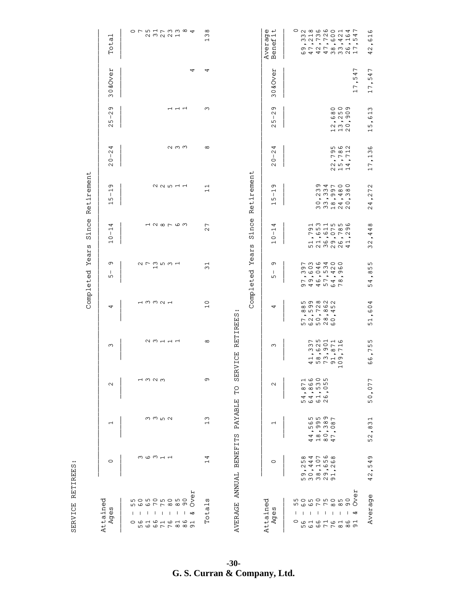SERVICE RETIREES: SERVICE RETIREES:

| Attained |                                                                                                                                                             |                                                                                                                    |                                                                                       |                                                                                                                                                                                                                                                     |                                                                                                                                                   | ≻<br>Completed                                         | Since<br>ears                                                                                           | Retirement                                                                                                                                                                                                                              |                                                                                                                      |                                                                                                                                                                |                             |                                                                                                                          |
|----------|-------------------------------------------------------------------------------------------------------------------------------------------------------------|--------------------------------------------------------------------------------------------------------------------|---------------------------------------------------------------------------------------|-----------------------------------------------------------------------------------------------------------------------------------------------------------------------------------------------------------------------------------------------------|---------------------------------------------------------------------------------------------------------------------------------------------------|--------------------------------------------------------|---------------------------------------------------------------------------------------------------------|-----------------------------------------------------------------------------------------------------------------------------------------------------------------------------------------------------------------------------------------|----------------------------------------------------------------------------------------------------------------------|----------------------------------------------------------------------------------------------------------------------------------------------------------------|-----------------------------|--------------------------------------------------------------------------------------------------------------------------|
|          | $\circ$                                                                                                                                                     | ᅱ                                                                                                                  | $\mathbf{\Omega}$                                                                     | $\omega$                                                                                                                                                                                                                                            | 4                                                                                                                                                 | თ<br>-1<br>Б                                           | 4<br>⊣<br>$\mathbf{I}$<br>$\circ$<br>$\overline{\phantom{0}}$                                           | თ<br>$\overline{\phantom{0}}$<br>$\mathbf{I}$<br>Б<br>$\overline{\phantom{0}}$                                                                                                                                                          | 4<br>$\mathbf{\Omega}$<br>$\mathbf{I}$<br>$\circ$<br>$\sim$                                                          | თ<br>$\mathbf 2$<br>$\mathbf{I}$<br>Б<br>N                                                                                                                     | 0&Over<br>ო                 | Total                                                                                                                    |
|          | m com H H                                                                                                                                                   | mm m N                                                                                                             | $-1 \,$ M $\,$ M $\,$ M                                                               | $\begin{array}{c} \n 0 \\ 0 \\ 0 \\ 0\n \end{array}$                                                                                                                                                                                                | $-1$ m m $\sim$ $-1$                                                                                                                              |                                                        | 128763                                                                                                  | 22511                                                                                                                                                                                                                                   | $\alpha$ m m                                                                                                         | $-1$ $-1$                                                                                                                                                      | 4                           | O F L H F M M & 4<br>2<br>2<br>2<br>2<br>2<br>2<br>2<br>2<br>2<br>2<br>2<br>2<br>2<br>2<br>2<br>                         |
|          | AVERAGE ANNUAL BENEFITS<br>4<br>$\overline{\phantom{0}}$                                                                                                    | PAYABLE<br>ო<br>$\overline{\phantom{0}}$                                                                           | თ<br>ГO                                                                               | <b>SERVICE</b>                                                                                                                                                                                                                                      | $\circ$<br>$\overline{\phantom{0}}$<br>RETIREES:                                                                                                  | $\overline{\phantom{0}}$<br>$\infty$                   | $\overline{ }$<br>$\mathbf{\Omega}$                                                                     | $\overline{\phantom{0}}$<br>$\overline{\phantom{0}}$                                                                                                                                                                                    | $\infty$                                                                                                             | S                                                                                                                                                              | 4                           | $\infty$<br>$\infty$<br>$\overline{\phantom{0}}$                                                                         |
|          |                                                                                                                                                             |                                                                                                                    |                                                                                       |                                                                                                                                                                                                                                                     |                                                                                                                                                   | Year<br>Completed                                      | ince<br>Ω<br>w                                                                                          | Retirement                                                                                                                                                                                                                              |                                                                                                                      |                                                                                                                                                                |                             |                                                                                                                          |
|          | $\circ$                                                                                                                                                     |                                                                                                                    | $\mathbf{\Omega}$                                                                     | ო                                                                                                                                                                                                                                                   | 4                                                                                                                                                 | თ<br>$\mathbf{I}$<br>ഗ                                 | 4<br>$\overline{\phantom{0}}$<br>$\mathbf{I}$<br>$\circ$<br>$\overline{\phantom{0}}$                    | თ<br>$\overline{\phantom{0}}$<br>$\mathbf{I}$<br>ഗ<br>$\overline{\phantom{0}}$                                                                                                                                                          | 4<br>$\sim$<br>$\mathbf{I}$<br>$\circ$<br>$\mathbf{\Omega}$                                                          | თ<br>$\mathbf{\Omega}$<br>$\mathbf{I}$<br>ഗ<br>$\mathbf{\Omega}$                                                                                               | 0&Over<br>ω                 | $\theta +$<br>Average<br>Benefit<br><b>Aver</b>                                                                          |
| άò       | $\infty$ 4 $\sim$ 6 $\infty$<br><b>599999</b><br>74700<br>$\overline{\phantom{a}}$<br>$\sigma$ $\circ$ $\circ$ $\sigma$ $\rightarrow$<br><b>5 6 7 7 8 9</b> | <b>5555</b><br><u>ഗ</u> ത ത ത<br>ഗ ത ന ഠ<br>$\bullet$<br>$\bullet$<br>$\bullet$<br>$\cdot$<br>4 4 8 9 7<br>4 8 9 7 | പ ധ ഠ n<br>$\overline{\phantom{a}}$<br>$\bullet$<br>$\ddot{\phantom{1}}$<br>$\bullet$ | <b>75446</b><br>$m \omega$ or $\omega$ r<br>$\begin{array}{ccccccccccccc} \bullet & \bullet & \bullet & \bullet & \bullet & \bullet & \bullet \end{array}$<br>$\overline{\phantom{a}}$<br>$1 \otimes 1 \otimes 1$<br>45790<br>$\mathord{\text{--}}$ | <b>In m m m m</b><br>∞ ၈ N ம ம<br>∞ம⊢∞4<br>$\hat{\phantom{a}}$<br>$\sim$ $\sim$ $\sim$<br>$\hat{\phantom{a}}$<br>$P$ $Q$ $Q$ $Q$<br><b>599999</b> | <b>LWQ400</b><br>の04326<br><br><b>796748</b><br>944567 | 1 m 1 m m 6<br>$\sigma$ b $\sigma$ $\sigma$ $\sigma$<br><b>766072</b><br>.<br>116961<br><b>50000000</b> | の4700<br>$m$ $m$ $m$ $\infty$ $\infty$<br>2 3 9 4 9<br>$\begin{array}{ccccccccccccc} \bullet & \bullet & \bullet & \bullet & \bullet & \bullet & \bullet & \bullet \end{array}$<br>$\circ$ $\circ$ $\circ$ $\circ$<br>mm <sub>HNN</sub> | n ဖ ဂ<br>ത ∞ ⊣<br>$\mathrel{\Gamma} \mathrel{\Gamma} \mathrel{\Gamma}$<br>$\sim$ $\sim$ $\sim$<br>757<br>$\sim$ $ -$ | $\circ$ $\circ$ $\circ$<br>$\infty$ in $\circ$<br><u>ဖ</u> လ စာ<br>$\ddot{\phantom{1}}$<br>$Q \cap Q$<br>$\overline{\phantom{a}}$ + $\overline{\phantom{a}}$ < | $\overline{ }$<br>54<br>17, | ол о о о о н и г<br>m H M N O N O T<br>$\overline{1}$ 5<br>うろファ らす<br><b>.</b><br>$\bullet$<br><b>DARADO</b><br>64443321 |
|          | თ<br>4<br>ഗ<br>$\bullet$<br>42                                                                                                                              | 52,831                                                                                                             | 50,077                                                                                | L<br>.6, 75!<br>م                                                                                                                                                                                                                                   | , 604<br>51                                                                                                                                       | Б<br>Б<br>$\infty$<br>$\cdot$<br>4<br>Б                | $\infty$<br>, 44<br>$\mathsf{\sim}$<br>$\sim$                                                           | $\sim$<br>, 27.<br>4<br>$\sim$                                                                                                                                                                                                          | 17,136                                                                                                               | $\sim$<br>.61<br>15                                                                                                                                            | 17,547                      | $\frac{0}{1}$<br>م<br>$\bullet$<br>$\sim$<br>4                                                                           |

**-30 - G. S. Curran & Company, Ltd.**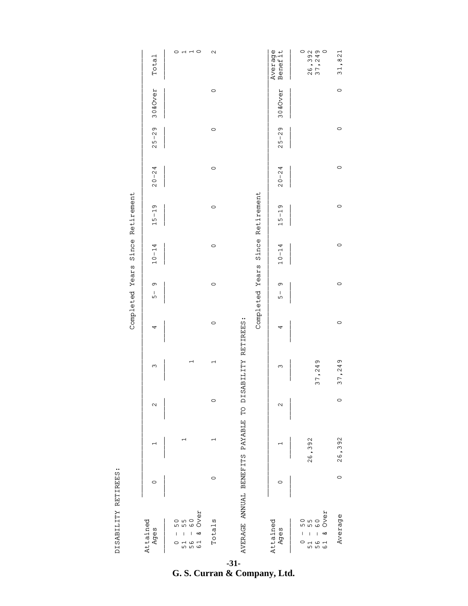DISABILITY RETIREES: DISABILITY RETIREES:

|                 | Total              | $\overline{H}$ $\overline{H}$ $\overline{O}$<br>0                       | $\mathbf{\Omega}$        |                                 | Average<br>Benefit | $\circ$<br>26,392<br>37,249<br>$\circ$                                                               | 31,821  |
|-----------------|--------------------|-------------------------------------------------------------------------|--------------------------|---------------------------------|--------------------|------------------------------------------------------------------------------------------------------|---------|
|                 | 30&Over            |                                                                         | $\circ$                  |                                 | 30&Over            |                                                                                                      | $\circ$ |
|                 | $25 - 29$          |                                                                         | $\circ$                  |                                 | $25 - 29$          |                                                                                                      | $\circ$ |
|                 | $20 - 24$          |                                                                         | $\circ$                  |                                 | $20 - 24$          |                                                                                                      | $\circ$ |
| Retirement      | $15 - 19$          |                                                                         | $\circ$                  | Retirement                      | $15 - 19$          |                                                                                                      | $\circ$ |
| Since           | $10 - 14$          |                                                                         | $\circ$                  | Since                           | $10 - 14$          |                                                                                                      | $\circ$ |
| Completed Years | თ<br>$\frac{1}{5}$ |                                                                         | $\circ$                  | Completed Years                 | თ<br>I<br>5        |                                                                                                      | $\circ$ |
|                 | 4                  |                                                                         | $\circ$                  |                                 | 4                  |                                                                                                      | $\circ$ |
|                 | ω                  | $\overline{\phantom{0}}$                                                | $\overline{\phantom{0}}$ | TO DISABILITY RETIREES:         | ω                  | 37,249                                                                                               | 37,249  |
|                 | $\mathbf{\Omega}$  |                                                                         | $\circ$                  |                                 | $\mathbf{\Omega}$  |                                                                                                      | $\circ$ |
|                 |                    | $\overline{\phantom{0}}$                                                |                          |                                 |                    | 26,392                                                                                               | 26,392  |
|                 | 0                  |                                                                         | $\circ$                  |                                 | $\circ$            |                                                                                                      | $\circ$ |
|                 | Attained<br>Ages   | Over<br>S<br>o 9<br>0<br>ഥ<br>ఱ<br>I<br>ڡ<br>5<br>۰<br>O<br>۳<br>ഹ<br>ഗ | Totals                   | AVERAGE ANNUAL BENEFITS PAYABLE | Attained<br>Ages   | Over<br>50<br>Б<br>$\circ$<br>ഥ<br>$\omega$<br>ఱ<br>ı<br>5 9<br>o<br>$\mathbf \omega$<br>4<br>5<br>ഗ | Average |

**-31 - G. S. Curran & Company, Ltd.**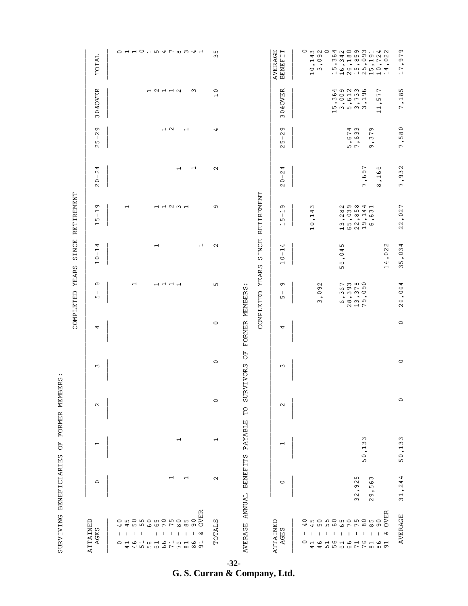| $\circ$<br>$\mathbf{\Omega}$<br>$\mathbf{\Omega}$                                                                                                                                                                                                                                                                                                                                                                                                                                                                                                                                                                                                                                                                                                                                                                                                                                                                                                                                        |                  | PAYABLE<br>ω<br>$\overline{\phantom{0}}$<br>$\overline{\phantom{0}}$<br>$\sim$<br>$\overline{\phantom{0}}$<br>5<br>$\overline{\phantom{0}}$<br>$\overline{a}$<br>$\circ$<br>ഹ | クリココムウォイン ココピュロ ワピュッエッスワワ<br>AVERAGE ANNUAL BENEFITS<br>L<br>$\overline{\phantom{0}}$<br>$\sim$<br>$\overline{\phantom{0}}$<br>ო<br>$\circ$<br>$\circ$<br>$\Im$<br>$\circ$<br>Б<br>$\bullet$<br>$\bullet$<br>$\sim$<br>თ<br>$\infty$<br>$\sim$<br>90<br>OVER |
|------------------------------------------------------------------------------------------------------------------------------------------------------------------------------------------------------------------------------------------------------------------------------------------------------------------------------------------------------------------------------------------------------------------------------------------------------------------------------------------------------------------------------------------------------------------------------------------------------------------------------------------------------------------------------------------------------------------------------------------------------------------------------------------------------------------------------------------------------------------------------------------------------------------------------------------------------------------------------------------|------------------|-------------------------------------------------------------------------------------------------------------------------------------------------------------------------------|--------------------------------------------------------------------------------------------------------------------------------------------------------------------------------------------------------------------------------------------------------------|
| SINCE RETIREMENT<br>RETIREMENT<br>$\sim$ $\sim$ $\sim$<br>ഹ<br>$\bullet$<br>ഥ<br>$\circ$<br>m ம v ம ம<br>$\overline{\phantom{0}}$<br>$\overline{\phantom{0}}$<br>$\overline{a}$ a $\overline{a}$<br>$\overline{\phantom{0}}$<br>SINCE<br>4<br>$\overline{\phantom{0}}$<br>$\sim$<br>LO<br>$\overline{\phantom{0}}$<br>4<br>H<br>$\overline{\phantom{0}}$<br>4<br>$\mathbf{I}$<br>$\circ$<br>$\mathbf{I}$<br>$\circ$<br>$\circ$<br>$\bullet$<br>$\overline{\phantom{0}}$<br>ڡ<br>$\overline{\phantom{0}}$<br>COMPLETED YEARS<br><b>YEARS</b><br>LO<br>$P$ $m$ $\infty$ $\circ$<br>თ<br>LO<br>$\overline{\phantom{0}}$<br>$\overline{\phantom{0}}$<br>ᅼ ᅱ<br>თ<br>$\mathbf{\Omega}$<br>FORMER MEMBERS<br>თ<br>$\circ$ $\circ$ $\circ$<br>COMPLETED<br>$\circ$<br>$m \nmid m \nmid O$<br>$\mathbf{I}$<br>-<br>$\sim$<br>Б<br>ഹ<br>$\bullet$<br>$\hat{\phantom{a}}$<br>$\bullet$<br>$\sim$<br><u>ര ത ത</u><br>$\sim$ $ \sim$<br>$\circ$<br>4<br>4<br>ð<br>$\circ$<br>VIVORS<br>ო<br>$\infty$ | <b>SUR</b><br>PO | T ON HEN THILL                                                                                                                                                                |                                                                                                                                                                                                                                                              |
|                                                                                                                                                                                                                                                                                                                                                                                                                                                                                                                                                                                                                                                                                                                                                                                                                                                                                                                                                                                          |                  |                                                                                                                                                                               |                                                                                                                                                                                                                                                              |
|                                                                                                                                                                                                                                                                                                                                                                                                                                                                                                                                                                                                                                                                                                                                                                                                                                                                                                                                                                                          |                  |                                                                                                                                                                               |                                                                                                                                                                                                                                                              |
|                                                                                                                                                                                                                                                                                                                                                                                                                                                                                                                                                                                                                                                                                                                                                                                                                                                                                                                                                                                          |                  |                                                                                                                                                                               |                                                                                                                                                                                                                                                              |
|                                                                                                                                                                                                                                                                                                                                                                                                                                                                                                                                                                                                                                                                                                                                                                                                                                                                                                                                                                                          |                  |                                                                                                                                                                               |                                                                                                                                                                                                                                                              |

**-32 - G. S. Curran & Company, Ltd.**

SURVIVING BENEFICIARIES OF FORMER MEMBERS: SURVIVING BENEFICIARIES OF FORMER MEMBERS: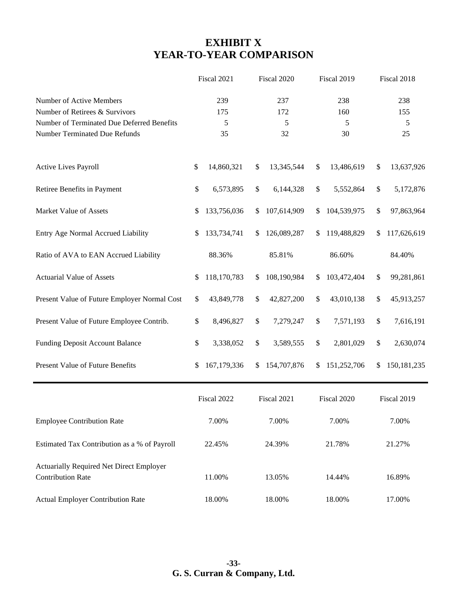# **EXHIBIT X YEAR-TO-YEAR COMPARISON**

|                                                                      | Fiscal 2021       | Fiscal 2020       | Fiscal 2019       | Fiscal 2018         |
|----------------------------------------------------------------------|-------------------|-------------------|-------------------|---------------------|
| Number of Active Members                                             | 239               | 237               | 238               | 238                 |
| Number of Retirees & Survivors                                       | 175               | 172               | 160               | 155                 |
| Number of Terminated Due Deferred Benefits                           | 5                 | 5                 | 5                 | 5                   |
| Number Terminated Due Refunds                                        | 35                | 32                | 30                | 25                  |
| Active Lives Payroll                                                 | 14,860,321<br>\$  | 13,345,544<br>\$  | 13,486,619<br>\$  | 13,637,926<br>\$    |
| Retiree Benefits in Payment                                          | \$<br>6,573,895   | \$<br>6,144,328   | \$<br>5,552,864   | \$<br>5,172,876     |
| Market Value of Assets                                               | 133,756,036<br>\$ | 107,614,909<br>\$ | 104,539,975<br>\$ | \$<br>97,863,964    |
| Entry Age Normal Accrued Liability                                   | 133,734,741<br>\$ | 126,089,287<br>\$ | 119,488,829<br>\$ | \$<br>117,626,619   |
| Ratio of AVA to EAN Accrued Liability                                | 88.36%            | 85.81%            | 86.60%            | 84.40%              |
| <b>Actuarial Value of Assets</b>                                     | 118,170,783<br>\$ | 108,190,984<br>\$ | 103,472,404<br>\$ | \$<br>99,281,861    |
| Present Value of Future Employer Normal Cost                         | \$<br>43,849,778  | \$<br>42,827,200  | \$<br>43,010,138  | \$<br>45,913,257    |
| Present Value of Future Employee Contrib.                            | \$<br>8,496,827   | \$<br>7,279,247   | 7,571,193<br>\$   | \$<br>7,616,191     |
| Funding Deposit Account Balance                                      | \$<br>3,338,052   | \$<br>3,589,555   | \$<br>2,801,029   | \$<br>2,630,074     |
| Present Value of Future Benefits                                     | 167,179,336<br>\$ | 154,707,876<br>\$ | 151,252,706<br>\$ | 150, 181, 235<br>\$ |
|                                                                      | Fiscal 2022       | Fiscal 2021       | Fiscal 2020       | Fiscal 2019         |
| <b>Employee Contribution Rate</b>                                    | 7.00%             | 7.00%             | 7.00%             | 7.00%               |
| Estimated Tax Contribution as a % of Payroll                         | 22.45%            | 24.39%            | 21.78%            | 21.27%              |
| Actuarially Required Net Direct Employer<br><b>Contribution Rate</b> | 11.00%            | 13.05%            | 14.44%            | 16.89%              |
| <b>Actual Employer Contribution Rate</b>                             | 18.00%            | 18.00%            | 18.00%            | 17.00%              |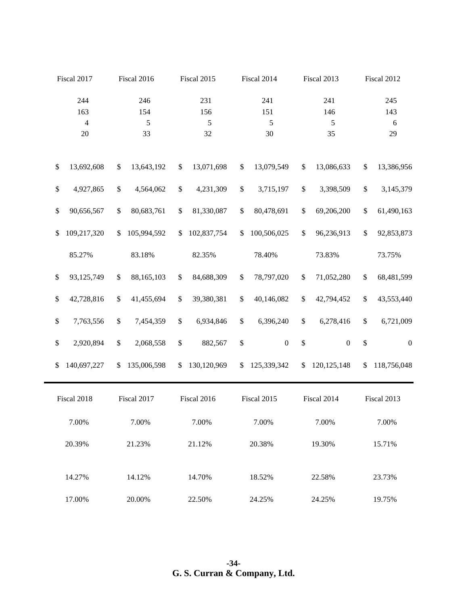|                   | Fiscal 2017    |      | Fiscal 2016 |      | Fiscal 2015 |              | Fiscal 2014      |              | Fiscal 2013      |      | Fiscal 2012      |
|-------------------|----------------|------|-------------|------|-------------|--------------|------------------|--------------|------------------|------|------------------|
|                   | 244            |      | 246         |      | 231         |              | 241              |              | 241              |      | 245              |
|                   | 163            |      | 154         |      | 156         |              | 151              |              | 146              |      | 143              |
|                   | $\overline{4}$ |      | 5           |      | 5           |              | 5                |              | $\sqrt{5}$       |      | $\sqrt{6}$       |
|                   | $20\,$         |      | 33          |      | 32          |              | 30               |              | 35               |      | 29               |
| $\$$              | 13,692,608     | \$   | 13,643,192  | \$   | 13,071,698  | \$           | 13,079,549       | $\$\,$       | 13,086,633       | \$   | 13,386,956       |
| $\$$              | 4,927,865      | \$   | 4,564,062   | $\$$ | 4,231,309   | $\$$         | 3,715,197        | $\$$         | 3,398,509        | $\$$ | 3,145,379        |
| $\$$              | 90,656,567     | $\$$ | 80,683,761  | \$   | 81,330,087  | $\$$         | 80,478,691       | \$           | 69,206,200       | \$   | 61,490,163       |
| \$                | 109,217,320    | \$   | 105,994,592 | \$   | 102,837,754 | \$           | 100,506,025      | \$           | 96,236,913       | \$   | 92,853,873       |
|                   | 85.27%         |      | 83.18%      |      | 82.35%      |              | 78.40%           |              | 73.83%           |      | 73.75%           |
| $\$$              | 93,125,749     | \$   | 88,165,103  | \$   | 84,688,309  | $\mathbb{S}$ | 78,797,020       | $\$$         | 71,052,280       | \$   | 68,481,599       |
| $\mathbb{S}$      | 42,728,816     | \$   | 41,455,694  | \$   | 39,380,381  | $\$$         | 40,146,082       | $\mathbb{S}$ | 42,794,452       | \$   | 43,553,440       |
| $\boldsymbol{\$}$ | 7,763,556      | \$   | 7,454,359   | \$   | 6,934,846   | \$           | 6,396,240        | $\mathbb{S}$ | 6,278,416        | \$   | 6,721,009        |
| $\mathbb{S}$      | 2,920,894      | \$   | 2,068,558   | \$   | 882,567     | \$           | $\boldsymbol{0}$ | \$           | $\boldsymbol{0}$ | \$   | $\boldsymbol{0}$ |
| \$                | 140,697,227    | \$   | 135,006,598 | \$   | 130,120,969 | \$           | 125,339,342      | \$           | 120, 125, 148    | \$   | 118,756,048      |
|                   | Fiscal 2018    |      | Fiscal 2017 |      | Fiscal 2016 |              | Fiscal 2015      |              | Fiscal 2014      |      | Fiscal 2013      |
|                   | 7.00%          |      | 7.00%       |      | 7.00%       |              | 7.00%            |              | 7.00%            |      | 7.00%            |
|                   | 20.39%         |      | 21.23%      |      | 21.12%      |              | 20.38%           |              | 19.30%           |      | 15.71%           |
|                   | 14.27%         |      | 14.12%      |      | 14.70%      |              | 18.52%           |              | 22.58%           |      | 23.73%           |
|                   | 17.00%         |      | 20.00%      |      | 22.50%      |              | 24.25%           |              | 24.25%           |      | 19.75%           |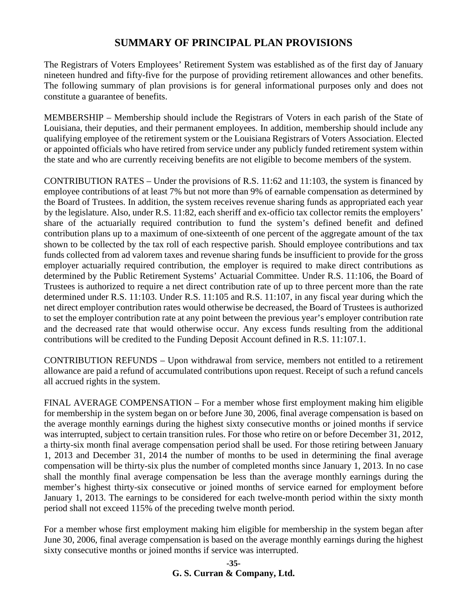### **SUMMARY OF PRINCIPAL PLAN PROVISIONS**

The Registrars of Voters Employees' Retirement System was established as of the first day of January nineteen hundred and fifty-five for the purpose of providing retirement allowances and other benefits. The following summary of plan provisions is for general informational purposes only and does not constitute a guarantee of benefits.

MEMBERSHIP – Membership should include the Registrars of Voters in each parish of the State of Louisiana, their deputies, and their permanent employees. In addition, membership should include any qualifying employee of the retirement system or the Louisiana Registrars of Voters Association. Elected or appointed officials who have retired from service under any publicly funded retirement system within the state and who are currently receiving benefits are not eligible to become members of the system.

CONTRIBUTION RATES – Under the provisions of R.S. 11:62 and 11:103, the system is financed by employee contributions of at least 7% but not more than 9% of earnable compensation as determined by the Board of Trustees. In addition, the system receives revenue sharing funds as appropriated each year by the legislature. Also, under R.S. 11:82, each sheriff and ex-officio tax collector remits the employers' share of the actuarially required contribution to fund the system's defined benefit and defined contribution plans up to a maximum of one-sixteenth of one percent of the aggregate amount of the tax shown to be collected by the tax roll of each respective parish. Should employee contributions and tax funds collected from ad valorem taxes and revenue sharing funds be insufficient to provide for the gross employer actuarially required contribution, the employer is required to make direct contributions as determined by the Public Retirement Systems' Actuarial Committee. Under R.S. 11:106, the Board of Trustees is authorized to require a net direct contribution rate of up to three percent more than the rate determined under R.S. 11:103. Under R.S. 11:105 and R.S. 11:107, in any fiscal year during which the net direct employer contribution rates would otherwise be decreased, the Board of Trustees is authorized to set the employer contribution rate at any point between the previous year's employer contribution rate and the decreased rate that would otherwise occur. Any excess funds resulting from the additional contributions will be credited to the Funding Deposit Account defined in R.S. 11:107.1.

CONTRIBUTION REFUNDS – Upon withdrawal from service, members not entitled to a retirement allowance are paid a refund of accumulated contributions upon request. Receipt of such a refund cancels all accrued rights in the system.

FINAL AVERAGE COMPENSATION – For a member whose first employment making him eligible for membership in the system began on or before June 30, 2006, final average compensation is based on the average monthly earnings during the highest sixty consecutive months or joined months if service was interrupted, subject to certain transition rules. For those who retire on or before December 31, 2012, a thirty-six month final average compensation period shall be used. For those retiring between January 1, 2013 and December 31, 2014 the number of months to be used in determining the final average compensation will be thirty-six plus the number of completed months since January 1, 2013. In no case shall the monthly final average compensation be less than the average monthly earnings during the member's highest thirty-six consecutive or joined months of service earned for employment before January 1, 2013. The earnings to be considered for each twelve-month period within the sixty month period shall not exceed 115% of the preceding twelve month period.

For a member whose first employment making him eligible for membership in the system began after June 30, 2006, final average compensation is based on the average monthly earnings during the highest sixty consecutive months or joined months if service was interrupted.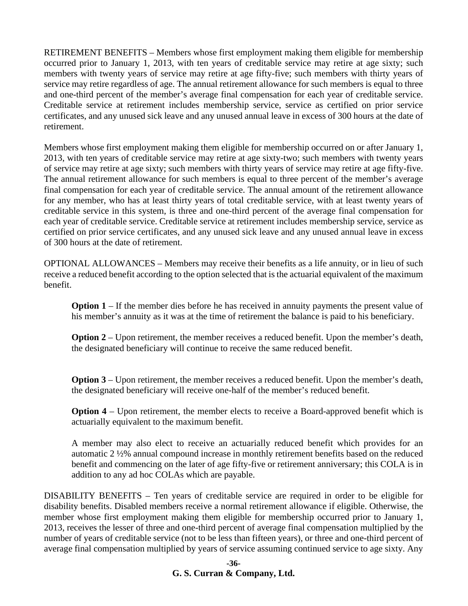RETIREMENT BENEFITS – Members whose first employment making them eligible for membership occurred prior to January 1, 2013, with ten years of creditable service may retire at age sixty; such members with twenty years of service may retire at age fifty-five; such members with thirty years of service may retire regardless of age. The annual retirement allowance for such members is equal to three and one-third percent of the member's average final compensation for each year of creditable service. Creditable service at retirement includes membership service, service as certified on prior service certificates, and any unused sick leave and any unused annual leave in excess of 300 hours at the date of retirement.

Members whose first employment making them eligible for membership occurred on or after January 1, 2013, with ten years of creditable service may retire at age sixty-two; such members with twenty years of service may retire at age sixty; such members with thirty years of service may retire at age fifty-five. The annual retirement allowance for such members is equal to three percent of the member's average final compensation for each year of creditable service. The annual amount of the retirement allowance for any member, who has at least thirty years of total creditable service, with at least twenty years of creditable service in this system, is three and one-third percent of the average final compensation for each year of creditable service. Creditable service at retirement includes membership service, service as certified on prior service certificates, and any unused sick leave and any unused annual leave in excess of 300 hours at the date of retirement.

OPTIONAL ALLOWANCES – Members may receive their benefits as a life annuity, or in lieu of such receive a reduced benefit according to the option selected that is the actuarial equivalent of the maximum benefit.

**Option 1** – If the member dies before he has received in annuity payments the present value of his member's annuity as it was at the time of retirement the balance is paid to his beneficiary.

**Option 2** – Upon retirement, the member receives a reduced benefit. Upon the member's death, the designated beneficiary will continue to receive the same reduced benefit.

**Option 3** – Upon retirement, the member receives a reduced benefit. Upon the member's death, the designated beneficiary will receive one-half of the member's reduced benefit.

**Option 4** – Upon retirement, the member elects to receive a Board-approved benefit which is actuarially equivalent to the maximum benefit.

A member may also elect to receive an actuarially reduced benefit which provides for an automatic 2 ½% annual compound increase in monthly retirement benefits based on the reduced benefit and commencing on the later of age fifty-five or retirement anniversary; this COLA is in addition to any ad hoc COLAs which are payable.

DISABILITY BENEFITS – Ten years of creditable service are required in order to be eligible for disability benefits. Disabled members receive a normal retirement allowance if eligible. Otherwise, the member whose first employment making them eligible for membership occurred prior to January 1, 2013, receives the lesser of three and one-third percent of average final compensation multiplied by the number of years of creditable service (not to be less than fifteen years), or three and one-third percent of average final compensation multiplied by years of service assuming continued service to age sixty. Any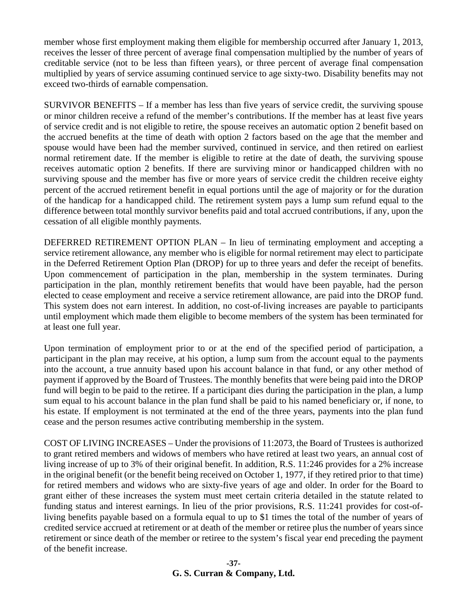member whose first employment making them eligible for membership occurred after January 1, 2013, receives the lesser of three percent of average final compensation multiplied by the number of years of creditable service (not to be less than fifteen years), or three percent of average final compensation multiplied by years of service assuming continued service to age sixty-two. Disability benefits may not exceed two-thirds of earnable compensation.

SURVIVOR BENEFITS – If a member has less than five years of service credit, the surviving spouse or minor children receive a refund of the member's contributions. If the member has at least five years of service credit and is not eligible to retire, the spouse receives an automatic option 2 benefit based on the accrued benefits at the time of death with option 2 factors based on the age that the member and spouse would have been had the member survived, continued in service, and then retired on earliest normal retirement date. If the member is eligible to retire at the date of death, the surviving spouse receives automatic option 2 benefits. If there are surviving minor or handicapped children with no surviving spouse and the member has five or more years of service credit the children receive eighty percent of the accrued retirement benefit in equal portions until the age of majority or for the duration of the handicap for a handicapped child. The retirement system pays a lump sum refund equal to the difference between total monthly survivor benefits paid and total accrued contributions, if any, upon the cessation of all eligible monthly payments.

DEFERRED RETIREMENT OPTION PLAN – In lieu of terminating employment and accepting a service retirement allowance, any member who is eligible for normal retirement may elect to participate in the Deferred Retirement Option Plan (DROP) for up to three years and defer the receipt of benefits. Upon commencement of participation in the plan, membership in the system terminates. During participation in the plan, monthly retirement benefits that would have been payable, had the person elected to cease employment and receive a service retirement allowance, are paid into the DROP fund. This system does not earn interest. In addition, no cost-of-living increases are payable to participants until employment which made them eligible to become members of the system has been terminated for at least one full year.

Upon termination of employment prior to or at the end of the specified period of participation, a participant in the plan may receive, at his option, a lump sum from the account equal to the payments into the account, a true annuity based upon his account balance in that fund, or any other method of payment if approved by the Board of Trustees. The monthly benefits that were being paid into the DROP fund will begin to be paid to the retiree. If a participant dies during the participation in the plan, a lump sum equal to his account balance in the plan fund shall be paid to his named beneficiary or, if none, to his estate. If employment is not terminated at the end of the three years, payments into the plan fund cease and the person resumes active contributing membership in the system.

COST OF LIVING INCREASES – Under the provisions of 11:2073, the Board of Trustees is authorized to grant retired members and widows of members who have retired at least two years, an annual cost of living increase of up to 3% of their original benefit. In addition, R.S. 11:246 provides for a 2% increase in the original benefit (or the benefit being received on October 1, 1977, if they retired prior to that time) for retired members and widows who are sixty-five years of age and older. In order for the Board to grant either of these increases the system must meet certain criteria detailed in the statute related to funding status and interest earnings. In lieu of the prior provisions, R.S. 11:241 provides for cost-ofliving benefits payable based on a formula equal to up to \$1 times the total of the number of years of credited service accrued at retirement or at death of the member or retiree plus the number of years since retirement or since death of the member or retiree to the system's fiscal year end preceding the payment of the benefit increase.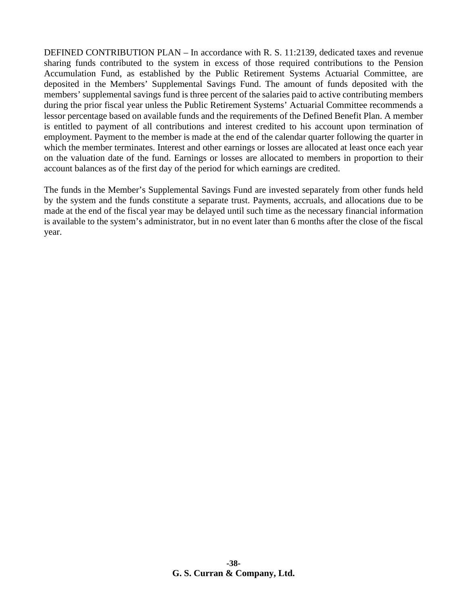DEFINED CONTRIBUTION PLAN – In accordance with R. S. 11:2139, dedicated taxes and revenue sharing funds contributed to the system in excess of those required contributions to the Pension Accumulation Fund, as established by the Public Retirement Systems Actuarial Committee, are deposited in the Members' Supplemental Savings Fund. The amount of funds deposited with the members' supplemental savings fund is three percent of the salaries paid to active contributing members during the prior fiscal year unless the Public Retirement Systems' Actuarial Committee recommends a lessor percentage based on available funds and the requirements of the Defined Benefit Plan. A member is entitled to payment of all contributions and interest credited to his account upon termination of employment. Payment to the member is made at the end of the calendar quarter following the quarter in which the member terminates. Interest and other earnings or losses are allocated at least once each year on the valuation date of the fund. Earnings or losses are allocated to members in proportion to their account balances as of the first day of the period for which earnings are credited.

The funds in the Member's Supplemental Savings Fund are invested separately from other funds held by the system and the funds constitute a separate trust. Payments, accruals, and allocations due to be made at the end of the fiscal year may be delayed until such time as the necessary financial information is available to the system's administrator, but in no event later than 6 months after the close of the fiscal year.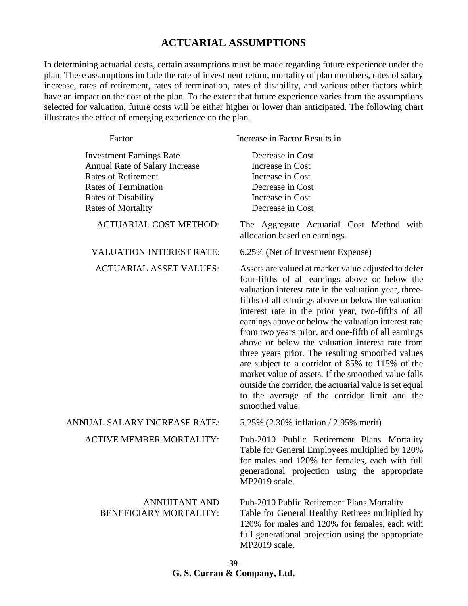#### **ACTUARIAL ASSUMPTIONS**

In determining actuarial costs, certain assumptions must be made regarding future experience under the plan. These assumptions include the rate of investment return, mortality of plan members, rates of salary increase, rates of retirement, rates of termination, rates of disability, and various other factors which have an impact on the cost of the plan. To the extent that future experience varies from the assumptions selected for valuation, future costs will be either higher or lower than anticipated. The following chart illustrates the effect of emerging experience on the plan.

| Factor                                                                                                                                                                                    | Increase in Factor Results in                                                                                                                                                                                                                                                                                                                                                                                                                                                                                                                                                                                                                                                                                                           |
|-------------------------------------------------------------------------------------------------------------------------------------------------------------------------------------------|-----------------------------------------------------------------------------------------------------------------------------------------------------------------------------------------------------------------------------------------------------------------------------------------------------------------------------------------------------------------------------------------------------------------------------------------------------------------------------------------------------------------------------------------------------------------------------------------------------------------------------------------------------------------------------------------------------------------------------------------|
| <b>Investment Earnings Rate</b><br>Annual Rate of Salary Increase<br><b>Rates of Retirement</b><br><b>Rates of Termination</b><br><b>Rates of Disability</b><br><b>Rates of Mortality</b> | Decrease in Cost<br>Increase in Cost<br>Increase in Cost<br>Decrease in Cost<br>Increase in Cost<br>Decrease in Cost                                                                                                                                                                                                                                                                                                                                                                                                                                                                                                                                                                                                                    |
| <b>ACTUARIAL COST METHOD:</b>                                                                                                                                                             | The Aggregate Actuarial Cost Method with<br>allocation based on earnings.                                                                                                                                                                                                                                                                                                                                                                                                                                                                                                                                                                                                                                                               |
| <b>VALUATION INTEREST RATE:</b>                                                                                                                                                           | 6.25% (Net of Investment Expense)                                                                                                                                                                                                                                                                                                                                                                                                                                                                                                                                                                                                                                                                                                       |
| <b>ACTUARIAL ASSET VALUES:</b>                                                                                                                                                            | Assets are valued at market value adjusted to defer<br>four-fifths of all earnings above or below the<br>valuation interest rate in the valuation year, three-<br>fifths of all earnings above or below the valuation<br>interest rate in the prior year, two-fifths of all<br>earnings above or below the valuation interest rate<br>from two years prior, and one-fifth of all earnings<br>above or below the valuation interest rate from<br>three years prior. The resulting smoothed values<br>are subject to a corridor of 85% to 115% of the<br>market value of assets. If the smoothed value falls<br>outside the corridor, the actuarial value is set equal<br>to the average of the corridor limit and the<br>smoothed value. |
| ANNUAL SALARY INCREASE RATE:                                                                                                                                                              | 5.25% (2.30% inflation / 2.95% merit)                                                                                                                                                                                                                                                                                                                                                                                                                                                                                                                                                                                                                                                                                                   |
| <b>ACTIVE MEMBER MORTALITY:</b>                                                                                                                                                           | Pub-2010 Public Retirement Plans Mortality<br>Table for General Employees multiplied by 120%<br>for males and 120% for females, each with full<br>generational projection using the appropriate<br>MP2019 scale.                                                                                                                                                                                                                                                                                                                                                                                                                                                                                                                        |
| <b>ANNUITANT AND</b><br><b>BENEFICIARY MORTALITY:</b>                                                                                                                                     | Pub-2010 Public Retirement Plans Mortality<br>Table for General Healthy Retirees multiplied by<br>120% for males and 120% for females, each with<br>full generational projection using the appropriate<br>MP2019 scale.                                                                                                                                                                                                                                                                                                                                                                                                                                                                                                                 |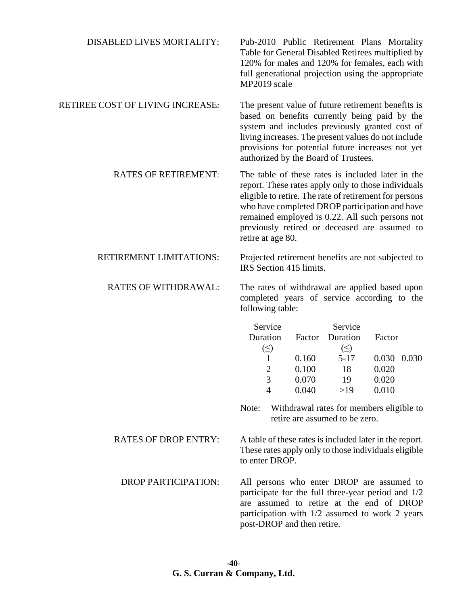| <b>DISABLED LIVES MORTALITY:</b> | Pub-2010 Public Retirement Plans Mortality<br>Table for General Disabled Retirees multiplied by<br>120% for males and 120% for females, each with<br>full generational projection using the appropriate<br>MP2019 scale                                                                                                                       |
|----------------------------------|-----------------------------------------------------------------------------------------------------------------------------------------------------------------------------------------------------------------------------------------------------------------------------------------------------------------------------------------------|
| RETIREE COST OF LIVING INCREASE: | The present value of future retirement benefits is<br>based on benefits currently being paid by the<br>system and includes previously granted cost of<br>living increases. The present values do not include<br>provisions for potential future increases not yet<br>authorized by the Board of Trustees.                                     |
| <b>RATES OF RETIREMENT:</b>      | The table of these rates is included later in the<br>report. These rates apply only to those individuals<br>eligible to retire. The rate of retirement for persons<br>who have completed DROP participation and have<br>remained employed is 0.22. All such persons not<br>previously retired or deceased are assumed to<br>retire at age 80. |
| RETIREMENT LIMITATIONS:          | Projected retirement benefits are not subjected to<br>IRS Section 415 limits.                                                                                                                                                                                                                                                                 |
| <b>RATES OF WITHDRAWAL:</b>      | The rates of withdrawal are applied based upon<br>completed years of service according to the<br>following table:                                                                                                                                                                                                                             |
|                                  | Service<br>Service<br>Duration<br>Duration<br>Factor<br>Factor<br>$(\le)$<br>$(\leq)$<br>$5 - 17$<br>0.160<br>0.030 0.030<br>1<br>$\overline{2}$<br>0.100<br>18<br>0.020<br>3<br>0.070<br>19<br>0.020<br>0.040<br>>19<br>0.010<br>4<br>Withdrawal rates for members eligible to<br>Note:                                                      |
|                                  | retire are assumed to be zero.                                                                                                                                                                                                                                                                                                                |
| <b>RATES OF DROP ENTRY:</b>      | A table of these rates is included later in the report.<br>These rates apply only to those individuals eligible<br>to enter DROP.                                                                                                                                                                                                             |
| <b>DROP PARTICIPATION:</b>       | All persons who enter DROP are assumed to<br>participate for the full three-year period and 1/2<br>are assumed to retire at the end of DROP<br>participation with $1/2$ assumed to work 2 years<br>post-DROP and then retire.                                                                                                                 |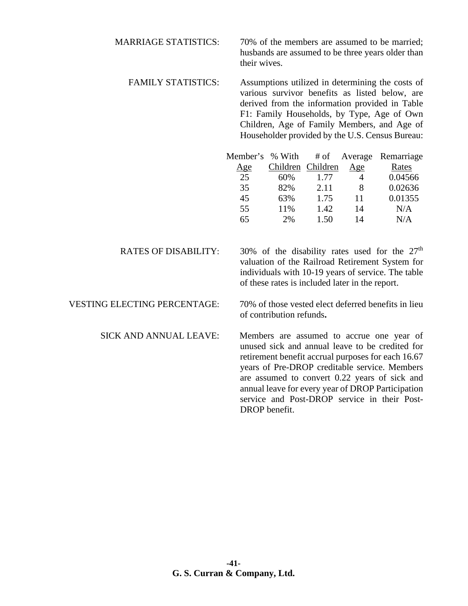MARRIAGE STATISTICS: 70% of the members are assumed to be married; husbands are assumed to be three years older than their wives.

FAMILY STATISTICS: Assumptions utilized in determining the costs of various survivor benefits as listed below, are derived from the information provided in Table F1: Family Households, by Type, Age of Own Children, Age of Family Members, and Age of Householder provided by the U.S. Census Bureau:

| Member's % With |                   |      | # of Average | Remarriage |
|-----------------|-------------------|------|--------------|------------|
| <u>Age</u>      | Children Children |      | Age          | Rates      |
| 25              | 60%               | 1.77 |              | 0.04566    |
| 35              | 82%               | 2.11 | 8            | 0.02636    |
| 45              | 63%               | 1.75 | 11           | 0.01355    |
| 55              | 11%               | 1.42 | 14           | N/A        |
| 65              | 2%                | 1.50 | 14           | N/A        |
|                 |                   |      |              |            |

RATES OF DISABILITY: 30% of the disability rates used for the  $27<sup>th</sup>$ valuation of the Railroad Retirement System for individuals with 10-19 years of service. The table of these rates is included later in the report.

VESTING ELECTING PERCENTAGE: 70% of those vested elect deferred benefits in lieu of contribution refunds**.**

SICK AND ANNUAL LEAVE: Members are assumed to accrue one year of unused sick and annual leave to be credited for retirement benefit accrual purposes for each 16.67 years of Pre-DROP creditable service. Members are assumed to convert 0.22 years of sick and annual leave for every year of DROP Participation service and Post-DROP service in their Post-DROP benefit.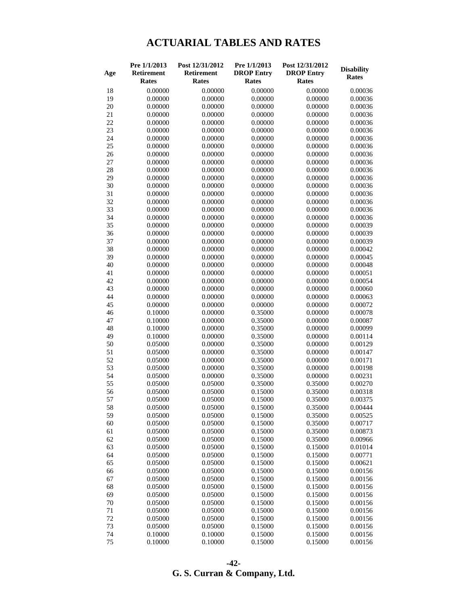# **ACTUARIAL TABLES AND RATES**

|     | Pre 1/1/2013      | Post 12/31/2012   | Pre 1/1/2013      | Post 12/31/2012   | <b>Disability</b> |
|-----|-------------------|-------------------|-------------------|-------------------|-------------------|
| Age | <b>Retirement</b> | <b>Retirement</b> | <b>DROP Entry</b> | <b>DROP Entry</b> | <b>Rates</b>      |
|     | <b>Rates</b>      | Rates             | <b>Rates</b>      | <b>Rates</b>      |                   |
| 18  | 0.00000           | 0.00000           | 0.00000           | 0.00000           | 0.00036           |
| 19  | 0.00000           | 0.00000           | 0.00000           | 0.00000           | 0.00036           |
| 20  | 0.00000           | 0.00000           | 0.00000           | 0.00000           | 0.00036           |
| 21  | 0.00000           | 0.00000           | 0.00000           | 0.00000           | 0.00036           |
| 22  | 0.00000           | 0.00000           | 0.00000           | 0.00000           | 0.00036           |
| 23  | 0.00000           | 0.00000           | 0.00000           | 0.00000           | 0.00036           |
| 24  | 0.00000           | 0.00000           | 0.00000           | 0.00000           | 0.00036           |
| 25  | 0.00000           | 0.00000           | 0.00000           | 0.00000           | 0.00036           |
| 26  | 0.00000           | 0.00000           | 0.00000           | 0.00000           | 0.00036           |
| 27  | 0.00000           | 0.00000           | 0.00000           | 0.00000           | 0.00036           |
| 28  | 0.00000           | 0.00000           | 0.00000           | 0.00000           | 0.00036           |
| 29  | 0.00000           | 0.00000           | 0.00000           | 0.00000           | 0.00036           |
| 30  | 0.00000           | 0.00000           | 0.00000           | 0.00000           | 0.00036           |
| 31  | 0.00000           | 0.00000           | 0.00000           | 0.00000           | 0.00036           |
| 32  | 0.00000           | 0.00000           | 0.00000           | 0.00000           | 0.00036           |
| 33  | 0.00000           | 0.00000           | 0.00000           | 0.00000           | 0.00036           |
| 34  | 0.00000           | 0.00000           | 0.00000           | 0.00000           | 0.00036           |
| 35  | 0.00000           | 0.00000           | 0.00000           | 0.00000           | 0.00039           |
| 36  | 0.00000           | 0.00000           | 0.00000           | 0.00000           | 0.00039           |
| 37  | 0.00000           | 0.00000           | 0.00000           | 0.00000           | 0.00039           |
| 38  | 0.00000           | 0.00000           | 0.00000           | 0.00000           | 0.00042           |
| 39  | 0.00000           | 0.00000           | 0.00000           | 0.00000           | 0.00045           |
| 40  | 0.00000           | 0.00000           | 0.00000           | 0.00000           | 0.00048           |
| 41  | 0.00000           | 0.00000           | 0.00000           | 0.00000           | 0.00051           |
| 42  | 0.00000           | 0.00000           | 0.00000           | 0.00000           | 0.00054           |
| 43  | 0.00000           | 0.00000           | 0.00000           | 0.00000           | 0.00060           |
| 44  | 0.00000           | 0.00000           | 0.00000           | 0.00000           | 0.00063           |
| 45  | 0.00000           | 0.00000           | 0.00000           | 0.00000           | 0.00072           |
| 46  | 0.10000           | 0.00000           | 0.35000           | 0.00000           | 0.00078           |
| 47  | 0.10000           | 0.00000           | 0.35000           | 0.00000           | 0.00087           |
| 48  | 0.10000           | 0.00000           | 0.35000           | 0.00000           | 0.00099           |
| 49  | 0.10000           | 0.00000           | 0.35000           | 0.00000           | 0.00114           |
| 50  | 0.05000           | 0.00000           | 0.35000           | 0.00000           | 0.00129           |
| 51  | 0.05000           | 0.00000           | 0.35000           | 0.00000           | 0.00147           |
| 52  | 0.05000           | 0.00000           | 0.35000           | 0.00000           | 0.00171           |
| 53  | 0.05000           | 0.00000           | 0.35000           | 0.00000           | 0.00198           |
| 54  | 0.05000           | 0.00000           | 0.35000           | 0.00000           | 0.00231           |
| 55  | 0.05000           | 0.05000           | 0.35000           | 0.35000           | 0.00270           |
| 56  | 0.05000           | 0.05000           | 0.15000           | 0.35000           | 0.00318           |
| 57  | 0.05000           | 0.05000           | 0.15000           | 0.35000           | 0.00375           |
| 58  | 0.05000           | 0.05000           | 0.15000           | 0.35000           | 0.00444           |
| 59  | 0.05000           | 0.05000           | 0.15000           | 0.35000           | 0.00525           |
| 60  | 0.05000           | 0.05000           | 0.15000           | 0.35000           | 0.00717           |
| 61  | 0.05000           | 0.05000           | 0.15000           | 0.35000           | 0.00873           |
| 62  | 0.05000           | 0.05000           | 0.15000           | 0.35000           | 0.00966           |
| 63  | 0.05000           | 0.05000           | 0.15000           | 0.15000           | 0.01014           |
| 64  | 0.05000           | 0.05000           | 0.15000           | 0.15000           | 0.00771           |
| 65  | 0.05000           | 0.05000           | 0.15000           | 0.15000           | 0.00621           |
| 66  | 0.05000           | 0.05000           | 0.15000           | 0.15000           | 0.00156           |
| 67  | 0.05000           | 0.05000           | 0.15000           | 0.15000           | 0.00156           |
| 68  | 0.05000           | 0.05000           | 0.15000           | 0.15000           | 0.00156           |
| 69  | 0.05000           | 0.05000           | 0.15000           | 0.15000           | 0.00156           |
| 70  | 0.05000           | 0.05000           | 0.15000           | 0.15000           | 0.00156           |
| 71  | 0.05000           | 0.05000           | 0.15000           | 0.15000           | 0.00156           |
| 72  | 0.05000           | 0.05000           | 0.15000           | 0.15000           | 0.00156           |
| 73  | 0.05000           | 0.05000           | 0.15000           | 0.15000           | 0.00156           |
| 74  | 0.10000           | 0.10000           | 0.15000           | 0.15000           | 0.00156           |
| 75  | 0.10000           | 0.10000           | 0.15000           | 0.15000           | 0.00156           |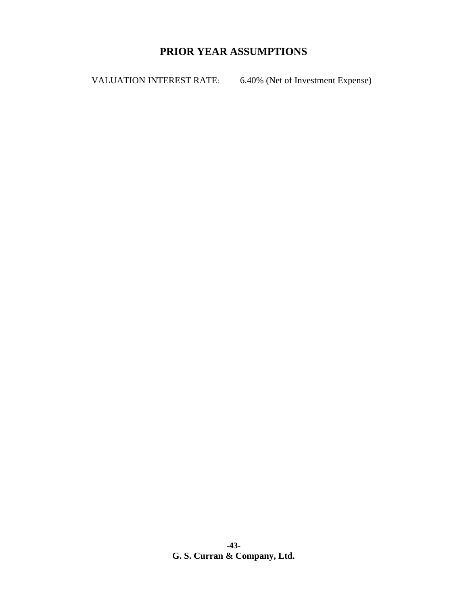# **PRIOR YEAR ASSUMPTIONS**

VALUATION INTEREST RATE: 6.40% (Net of Investment Expense)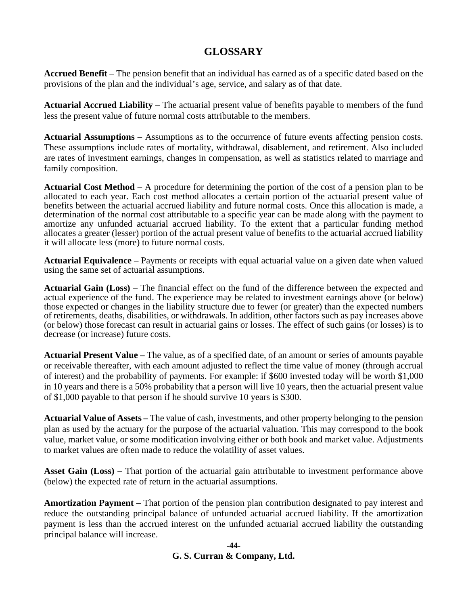# **GLOSSARY**

**Accrued Benefit** – The pension benefit that an individual has earned as of a specific dated based on the provisions of the plan and the individual's age, service, and salary as of that date.

**Actuarial Accrued Liability** – The actuarial present value of benefits payable to members of the fund less the present value of future normal costs attributable to the members.

**Actuarial Assumptions** – Assumptions as to the occurrence of future events affecting pension costs. These assumptions include rates of mortality, withdrawal, disablement, and retirement. Also included are rates of investment earnings, changes in compensation, as well as statistics related to marriage and family composition.

**Actuarial Cost Method** – A procedure for determining the portion of the cost of a pension plan to be allocated to each year. Each cost method allocates a certain portion of the actuarial present value of benefits between the actuarial accrued liability and future normal costs. Once this allocation is made, a determination of the normal cost attributable to a specific year can be made along with the payment to amortize any unfunded actuarial accrued liability. To the extent that a particular funding method allocates a greater (lesser) portion of the actual present value of benefits to the actuarial accrued liability it will allocate less (more) to future normal costs.

**Actuarial Equivalence** – Payments or receipts with equal actuarial value on a given date when valued using the same set of actuarial assumptions.

**Actuarial Gain (Loss)** – The financial effect on the fund of the difference between the expected and actual experience of the fund. The experience may be related to investment earnings above (or below) those expected or changes in the liability structure due to fewer (or greater) than the expected numbers of retirements, deaths, disabilities, or withdrawals. In addition, other factors such as pay increases above (or below) those forecast can result in actuarial gains or losses. The effect of such gains (or losses) is to decrease (or increase) future costs.

**Actuarial Present Value –** The value, as of a specified date, of an amount or series of amounts payable or receivable thereafter, with each amount adjusted to reflect the time value of money (through accrual of interest) and the probability of payments. For example: if \$600 invested today will be worth \$1,000 in 10 years and there is a 50% probability that a person will live 10 years, then the actuarial present value of \$1,000 payable to that person if he should survive 10 years is \$300.

**Actuarial Value of Assets –** The value of cash, investments, and other property belonging to the pension plan as used by the actuary for the purpose of the actuarial valuation. This may correspond to the book value, market value, or some modification involving either or both book and market value. Adjustments to market values are often made to reduce the volatility of asset values.

**Asset Gain (Loss) –** That portion of the actuarial gain attributable to investment performance above (below) the expected rate of return in the actuarial assumptions.

**Amortization Payment –** That portion of the pension plan contribution designated to pay interest and reduce the outstanding principal balance of unfunded actuarial accrued liability. If the amortization payment is less than the accrued interest on the unfunded actuarial accrued liability the outstanding principal balance will increase.